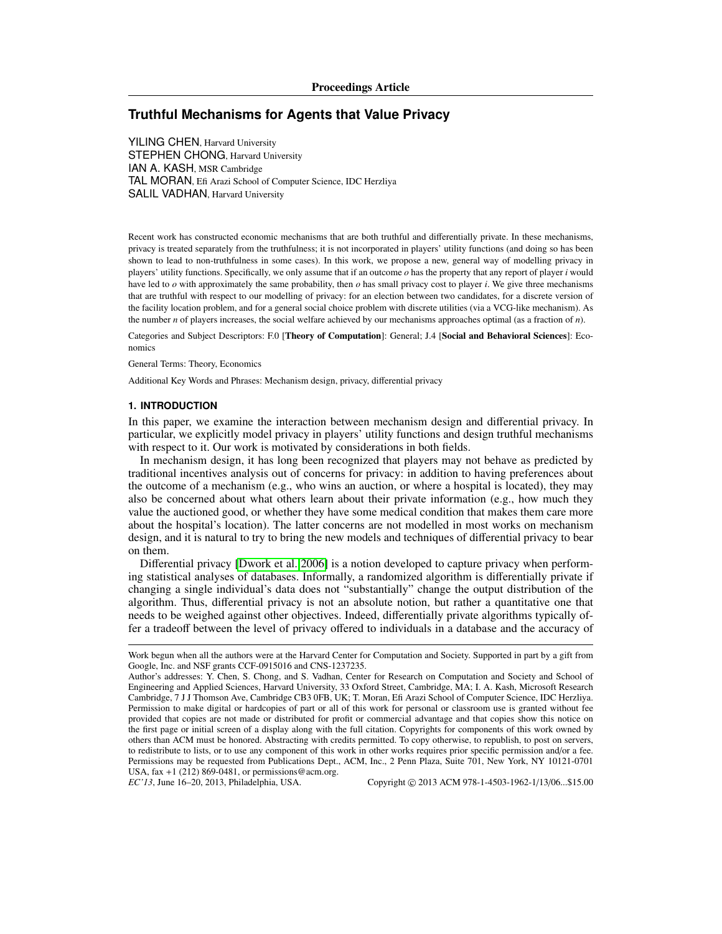# **Truthful Mechanisms for Agents that Value Privacy**

YILING CHEN, Harvard University STEPHEN CHONG, Harvard University IAN A. KASH, MSR Cambridge TAL MORAN, Efi Arazi School of Computer Science, IDC Herzliya SALIL VADHAN, Harvard University

Recent work has constructed economic mechanisms that are both truthful and differentially private. In these mechanisms, privacy is treated separately from the truthfulness; it is not incorporated in players' utility functions (and doing so has been shown to lead to non-truthfulness in some cases). In this work, we propose a new, general way of modelling privacy in players' utility functions. Specifically, we only assume that if an outcome *o* has the property that any report of player *i* would have led to *o* with approximately the same probability, then *o* has small privacy cost to player *i*. We give three mechanisms that are truthful with respect to our modelling of privacy: for an election between two candidates, for a discrete version of the facility location problem, and for a general social choice problem with discrete utilities (via a VCG-like mechanism). As the number *n* of players increases, the social welfare achieved by our mechanisms approaches optimal (as a fraction of *n*).

Categories and Subject Descriptors: F.0 [Theory of Computation]: General; J.4 [Social and Behavioral Sciences]: Economics

General Terms: Theory, Economics

Additional Key Words and Phrases: Mechanism design, privacy, differential privacy

# **1. INTRODUCTION**

In this paper, we examine the interaction between mechanism design and differential privacy. In particular, we explicitly model privacy in players' utility functions and design truthful mechanisms with respect to it. Our work is motivated by considerations in both fields.

In mechanism design, it has long been recognized that players may not behave as predicted by traditional incentives analysis out of concerns for privacy: in addition to having preferences about the outcome of a mechanism (e.g., who wins an auction, or where a hospital is located), they may also be concerned about what others learn about their private information (e.g., how much they value the auctioned good, or whether they have some medical condition that makes them care more about the hospital's location). The latter concerns are not modelled in most works on mechanism design, and it is natural to try to bring the new models and techniques of differential privacy to bear on them.

Differential privacy [\[Dwork et al. 2006\]](#page-17-0) is a notion developed to capture privacy when performing statistical analyses of databases. Informally, a randomized algorithm is differentially private if changing a single individual's data does not "substantially" change the output distribution of the algorithm. Thus, differential privacy is not an absolute notion, but rather a quantitative one that needs to be weighed against other objectives. Indeed, differentially private algorithms typically offer a tradeoff between the level of privacy offered to individuals in a database and the accuracy of

Work begun when all the authors were at the Harvard Center for Computation and Society. Supported in part by a gift from Google, Inc. and NSF grants CCF-0915016 and CNS-1237235.

Author's addresses: Y. Chen, S. Chong, and S. Vadhan, Center for Research on Computation and Society and School of Engineering and Applied Sciences, Harvard University, 33 Oxford Street, Cambridge, MA; I. A. Kash, Microsoft Research Cambridge, 7 J J Thomson Ave, Cambridge CB3 0FB, UK; T. Moran, Efi Arazi School of Computer Science, IDC Herzliya. Permission to make digital or hardcopies of part or all of this work for personal or classroom use is granted without fee provided that copies are not made or distributed for profit or commercial advantage and that copies show this notice on the first page or initial screen of a display along with the full citation. Copyrights for components of this work owned by others than ACM must be honored. Abstracting with credits permitted. To copy otherwise, to republish, to post on servers, to redistribute to lists, or to use any component of this work in other works requires prior specific permission and/or a fee. Permissions may be requested from Publications Dept., ACM, Inc., 2 Penn Plaza, Suite 701, New York, NY 10121-0701 USA, fax +1 (212) 869-0481, or permissions@acm.org.

*EC'13*, June 16–20, 2013, Philadelphia, USA. Copyright © 2013 ACM 978-1-4503-1962-1/13/06...\$15.00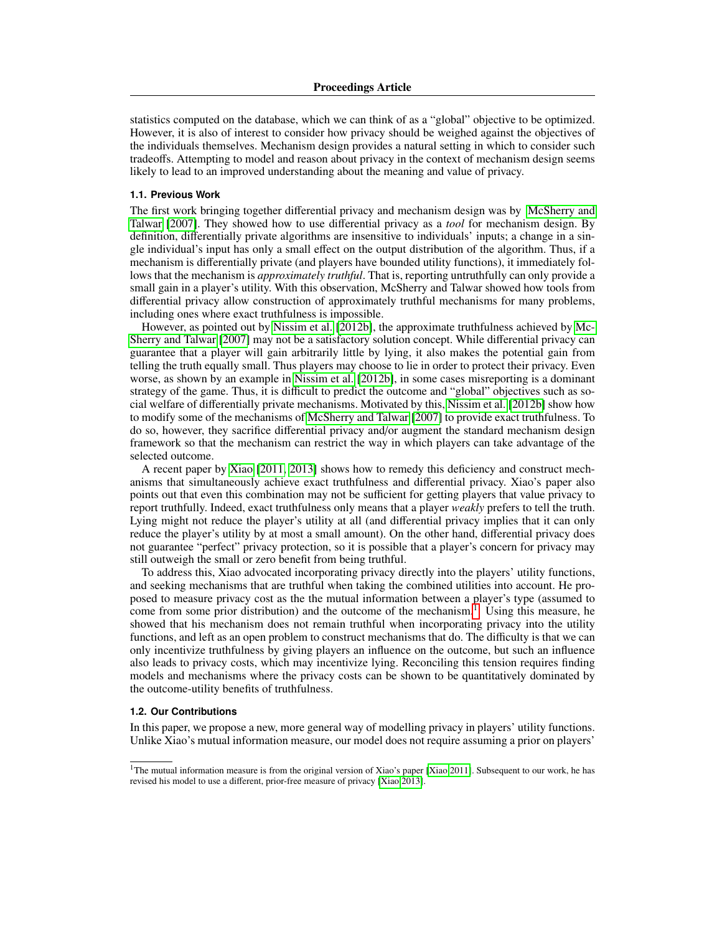statistics computed on the database, which we can think of as a "global" objective to be optimized. However, it is also of interest to consider how privacy should be weighed against the objectives of the individuals themselves. Mechanism design provides a natural setting in which to consider such tradeoffs. Attempting to model and reason about privacy in the context of mechanism design seems likely to lead to an improved understanding about the meaning and value of privacy.

# **1.1. Previous Work**

The first work bringing together differential privacy and mechanism design was by [McSherry and](#page-17-1) [Talwar](#page-17-1) [\[2007\]](#page-17-1). They showed how to use differential privacy as a *tool* for mechanism design. By definition, differentially private algorithms are insensitive to individuals' inputs; a change in a single individual's input has only a small effect on the output distribution of the algorithm. Thus, if a mechanism is differentially private (and players have bounded utility functions), it immediately follows that the mechanism is *approximately truthful*. That is, reporting untruthfully can only provide a small gain in a player's utility. With this observation, McSherry and Talwar showed how tools from differential privacy allow construction of approximately truthful mechanisms for many problems, including ones where exact truthfulness is impossible.

However, as pointed out by [Nissim et al.](#page-17-2) [\[2012b\]](#page-17-2), the approximate truthfulness achieved by [Mc-](#page-17-1)[Sherry and Talwar](#page-17-1) [\[2007\]](#page-17-1) may not be a satisfactory solution concept. While differential privacy can guarantee that a player will gain arbitrarily little by lying, it also makes the potential gain from telling the truth equally small. Thus players may choose to lie in order to protect their privacy. Even worse, as shown by an example in [Nissim et al.](#page-17-2) [\[2012b\]](#page-17-2), in some cases misreporting is a dominant strategy of the game. Thus, it is difficult to predict the outcome and "global" objectives such as social welfare of differentially private mechanisms. Motivated by this, [Nissim et al.](#page-17-2) [\[2012b\]](#page-17-2) show how to modify some of the mechanisms of [McSherry and Talwar](#page-17-1) [\[2007\]](#page-17-1) to provide exact truthfulness. To do so, however, they sacrifice differential privacy and/or augment the standard mechanism design framework so that the mechanism can restrict the way in which players can take advantage of the selected outcome.

A recent paper by [Xiao](#page-17-3) [\[2011,](#page-17-3) [2013\]](#page-17-4) shows how to remedy this deficiency and construct mechanisms that simultaneously achieve exact truthfulness and differential privacy. Xiao's paper also points out that even this combination may not be sufficient for getting players that value privacy to report truthfully. Indeed, exact truthfulness only means that a player *weakly* prefers to tell the truth. Lying might not reduce the player's utility at all (and differential privacy implies that it can only reduce the player's utility by at most a small amount). On the other hand, differential privacy does not guarantee "perfect" privacy protection, so it is possible that a player's concern for privacy may still outweigh the small or zero benefit from being truthful.

To address this, Xiao advocated incorporating privacy directly into the players' utility functions, and seeking mechanisms that are truthful when taking the combined utilities into account. He proposed to measure privacy cost as the the mutual information between a player's type (assumed to come from some prior distribution) and the outcome of the mechanism.<sup>[1](#page-1-0)</sup> Using this measure, he showed that his mechanism does not remain truthful when incorporating privacy into the utility functions, and left as an open problem to construct mechanisms that do. The difficulty is that we can only incentivize truthfulness by giving players an influence on the outcome, but such an influence also leads to privacy costs, which may incentivize lying. Reconciling this tension requires finding models and mechanisms where the privacy costs can be shown to be quantitatively dominated by the outcome-utility benefits of truthfulness.

### **1.2. Our Contributions**

In this paper, we propose a new, more general way of modelling privacy in players' utility functions. Unlike Xiao's mutual information measure, our model does not require assuming a prior on players'

<span id="page-1-0"></span><sup>&</sup>lt;sup>1</sup>The mutual information measure is from the original version of Xiao's paper [\[Xiao 2011\]](#page-17-3). Subsequent to our work, he has revised his model to use a different, prior-free measure of privacy [\[Xiao 2013\]](#page-17-4).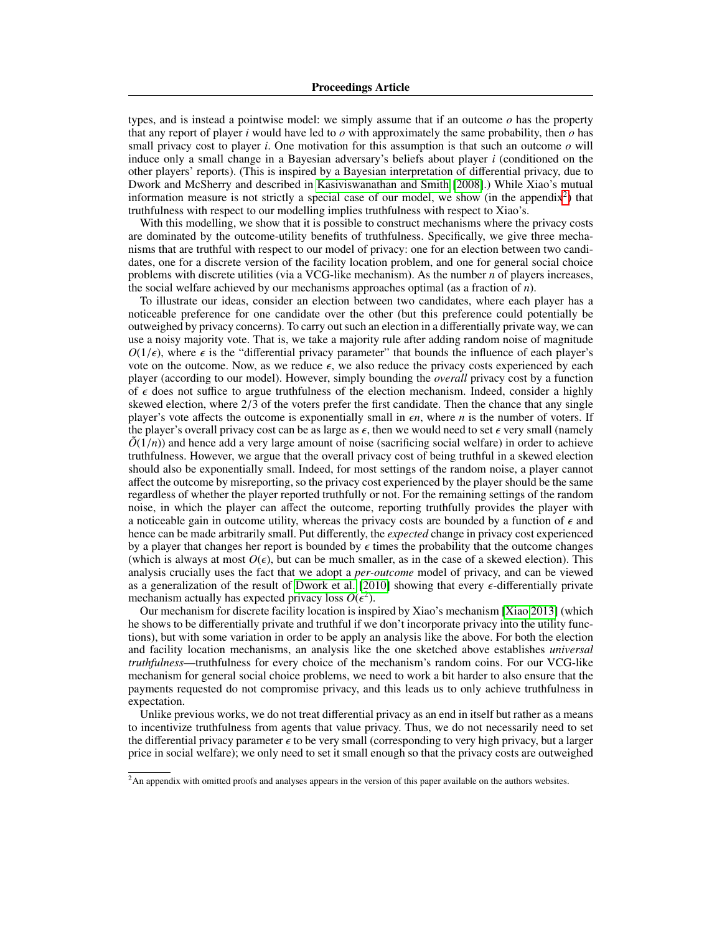types, and is instead a pointwise model: we simply assume that if an outcome *o* has the property that any report of player *i* would have led to  $\sigma$  with approximately the same probability, then  $\sigma$  has small privacy cost to player *i*. One motivation for this assumption is that such an outcome *o* will induce only a small change in a Bayesian adversary's beliefs about player *i* (conditioned on the other players' reports). (This is inspired by a Bayesian interpretation of differential privacy, due to Dwork and McSherry and described in [Kasiviswanathan and Smith](#page-17-5) [\[2008\]](#page-17-5).) While Xiao's mutual information measure is not strictly a special case of our model, we show (in the appendix<sup>[2](#page-2-0)</sup>) that truthfulness with respect to our modelling implies truthfulness with respect to Xiao's.

With this modelling, we show that it is possible to construct mechanisms where the privacy costs are dominated by the outcome-utility benefits of truthfulness. Specifically, we give three mechanisms that are truthful with respect to our model of privacy: one for an election between two candidates, one for a discrete version of the facility location problem, and one for general social choice problems with discrete utilities (via a VCG-like mechanism). As the number *n* of players increases, the social welfare achieved by our mechanisms approaches optimal (as a fraction of *n*).

To illustrate our ideas, consider an election between two candidates, where each player has a noticeable preference for one candidate over the other (but this preference could potentially be outweighed by privacy concerns). To carry out such an election in a differentially private way, we can use a noisy majority vote. That is, we take a majority rule after adding random noise of magnitude  $O(1/\epsilon)$ , where  $\epsilon$  is the "differential privacy parameter" that bounds the influence of each player's vote on the outcome. Now, as we reduce  $\epsilon$ , we also reduce the privacy costs experienced by each player (according to our model). However, simply bounding the *overall* privacy cost by a function of  $\epsilon$  does not suffice to argue truthfulness of the election mechanism. Indeed, consider a highly skewed election, where  $2/3$  of the voters prefer the first candidate. Then the chance that any single player's vote affects the outcome is exponentially small in  $\epsilon n$ , where *n* is the number of voters. If player's vote affects the outcome is exponentially small in  $\epsilon n$ , where *n* is the number of voters. If the player's overall privacy cost can be as large as  $\epsilon$  then we would need to set  $\epsilon$  very small (namely the player's overall privacy cost can be as large as  $\epsilon$ , then we would need to set  $\epsilon$  very small (namely  $\tilde{O}(1/n)$ ) and hence add a very large amount of noise (sacrificing social welfare) in order to achieve  $\tilde{O}(1/n)$ ) and hence add a very large amount of noise (sacrificing social welfare) in order to achieve truthfulness. However, we argue that the overall privacy cost of being truthful in a skewed election should also be exponentially small. Indeed, for most settings of the random noise, a player cannot affect the outcome by misreporting, so the privacy cost experienced by the player should be the same regardless of whether the player reported truthfully or not. For the remaining settings of the random noise, in which the player can affect the outcome, reporting truthfully provides the player with a noticeable gain in outcome utility, whereas the privacy costs are bounded by a function of  $\epsilon$  and hence can be made arbitrarily small. Put differently, the *expected* change in privacy cost experienced by a player that changes her report is bounded by  $\epsilon$  times the probability that the outcome changes (which is always at most  $O(\epsilon)$ , but can be much smaller, as in the case of a skewed election). This analysis crucially uses the fact that we adopt a *per-outcome* model of privacy, and can be viewed as a generalization of the result of [Dwork et al.](#page-17-6)  $[2010]$  showing that every  $\epsilon$ -differentially private mechanism actually has expected privacy loss  $O(\epsilon^2)$ .<br>Our mechanism for discrete facility location is insr

Our mechanism for discrete facility location is inspired by Xiao's mechanism [\[Xiao 2013\]](#page-17-4) (which he shows to be differentially private and truthful if we don't incorporate privacy into the utility functions), but with some variation in order to be apply an analysis like the above. For both the election and facility location mechanisms, an analysis like the one sketched above establishes *universal truthfulness*—truthfulness for every choice of the mechanism's random coins. For our VCG-like mechanism for general social choice problems, we need to work a bit harder to also ensure that the payments requested do not compromise privacy, and this leads us to only achieve truthfulness in expectation.

Unlike previous works, we do not treat differential privacy as an end in itself but rather as a means to incentivize truthfulness from agents that value privacy. Thus, we do not necessarily need to set the differential privacy parameter  $\epsilon$  to be very small (corresponding to very high privacy, but a larger price in social welfare); we only need to set it small enough so that the privacy costs are outweighed

<span id="page-2-0"></span><sup>&</sup>lt;sup>2</sup>An appendix with omitted proofs and analyses appears in the version of this paper available on the authors websites.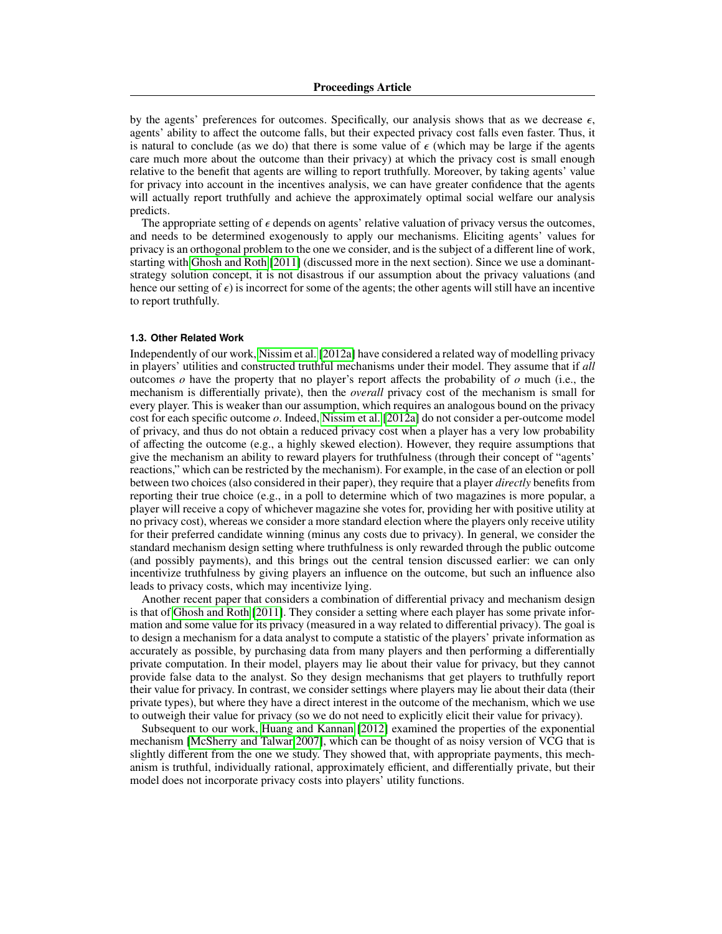by the agents' preferences for outcomes. Specifically, our analysis shows that as we decrease  $\epsilon$ , agents' ability to affect the outcome falls, but their expected privacy cost falls even faster. Thus, it is natural to conclude (as we do) that there is some value of  $\epsilon$  (which may be large if the agents care much more about the outcome than their privacy) at which the privacy cost is small enough relative to the benefit that agents are willing to report truthfully. Moreover, by taking agents' value for privacy into account in the incentives analysis, we can have greater confidence that the agents will actually report truthfully and achieve the approximately optimal social welfare our analysis predicts.

The appropriate setting of  $\epsilon$  depends on agents' relative valuation of privacy versus the outcomes, and needs to be determined exogenously to apply our mechanisms. Eliciting agents' values for privacy is an orthogonal problem to the one we consider, and is the subject of a different line of work, starting with [Ghosh and Roth](#page-17-7) [\[2011\]](#page-17-7) (discussed more in the next section). Since we use a dominantstrategy solution concept, it is not disastrous if our assumption about the privacy valuations (and hence our setting of  $\epsilon$ ) is incorrect for some of the agents; the other agents will still have an incentive to report truthfully.

### **1.3. Other Related Work**

Independently of our work, [Nissim et al.](#page-17-8) [\[2012a\]](#page-17-8) have considered a related way of modelling privacy in players' utilities and constructed truthful mechanisms under their model. They assume that if *all* outcomes *o* have the property that no player's report affects the probability of *o* much (i.e., the mechanism is differentially private), then the *overall* privacy cost of the mechanism is small for every player. This is weaker than our assumption, which requires an analogous bound on the privacy cost for each specific outcome *o*. Indeed, [Nissim et al.](#page-17-8) [\[2012a\]](#page-17-8) do not consider a per-outcome model of privacy, and thus do not obtain a reduced privacy cost when a player has a very low probability of affecting the outcome (e.g., a highly skewed election). However, they require assumptions that give the mechanism an ability to reward players for truthfulness (through their concept of "agents' reactions," which can be restricted by the mechanism). For example, in the case of an election or poll between two choices (also considered in their paper), they require that a player *directly* benefits from reporting their true choice (e.g., in a poll to determine which of two magazines is more popular, a player will receive a copy of whichever magazine she votes for, providing her with positive utility at no privacy cost), whereas we consider a more standard election where the players only receive utility for their preferred candidate winning (minus any costs due to privacy). In general, we consider the standard mechanism design setting where truthfulness is only rewarded through the public outcome (and possibly payments), and this brings out the central tension discussed earlier: we can only incentivize truthfulness by giving players an influence on the outcome, but such an influence also leads to privacy costs, which may incentivize lying.

Another recent paper that considers a combination of differential privacy and mechanism design is that of [Ghosh and Roth](#page-17-7) [\[2011\]](#page-17-7). They consider a setting where each player has some private information and some value for its privacy (measured in a way related to differential privacy). The goal is to design a mechanism for a data analyst to compute a statistic of the players' private information as accurately as possible, by purchasing data from many players and then performing a differentially private computation. In their model, players may lie about their value for privacy, but they cannot provide false data to the analyst. So they design mechanisms that get players to truthfully report their value for privacy. In contrast, we consider settings where players may lie about their data (their private types), but where they have a direct interest in the outcome of the mechanism, which we use to outweigh their value for privacy (so we do not need to explicitly elicit their value for privacy).

Subsequent to our work, [Huang and Kannan](#page-17-9) [\[2012\]](#page-17-9) examined the properties of the exponential mechanism [\[McSherry and Talwar 2007\]](#page-17-1), which can be thought of as noisy version of VCG that is slightly different from the one we study. They showed that, with appropriate payments, this mechanism is truthful, individually rational, approximately efficient, and differentially private, but their model does not incorporate privacy costs into players' utility functions.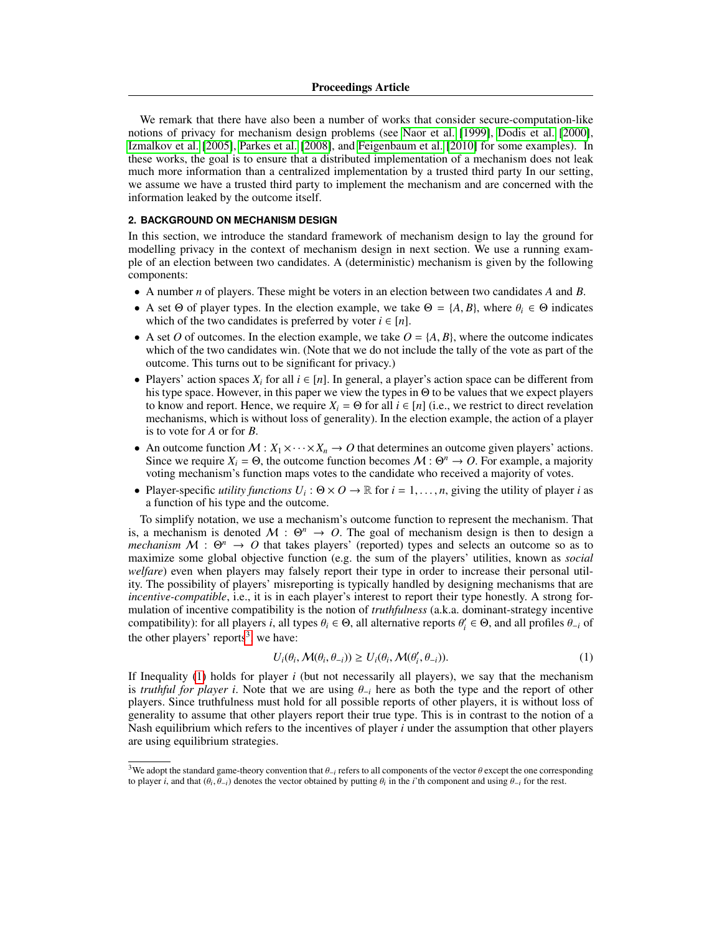### Proceedings Article

We remark that there have also been a number of works that consider secure-computation-like notions of privacy for mechanism design problems (see [Naor et al.](#page-17-10) [\[1999\]](#page-17-10), [Dodis et al.](#page-17-11) [\[2000\]](#page-17-11), [Izmalkov et al.](#page-17-12) [\[2005\]](#page-17-12), [Parkes et al.](#page-17-13) [\[2008\]](#page-17-13), and [Feigenbaum et al.](#page-17-14) [\[2010\]](#page-17-14) for some examples). In these works, the goal is to ensure that a distributed implementation of a mechanism does not leak much more information than a centralized implementation by a trusted third party In our setting, we assume we have a trusted third party to implement the mechanism and are concerned with the information leaked by the outcome itself.

## <span id="page-4-2"></span>**2. BACKGROUND ON MECHANISM DESIGN**

In this section, we introduce the standard framework of mechanism design to lay the ground for modelling privacy in the context of mechanism design in next section. We use a running example of an election between two candidates. A (deterministic) mechanism is given by the following components:

- A number *n* of players. These might be voters in an election between two candidates *A* and *B*.
- A set  $\Theta$  of player types. In the election example, we take  $\Theta = \{A, B\}$ , where  $\theta_i \in \Theta$  indicates which of the two candidates is preferred by voter  $i \in [n]$ .
- A set *O* of outcomes. In the election example, we take  $O = \{A, B\}$ , where the outcome indicates which of the two candidates win. (Note that we do not include the tally of the vote as part of the outcome. This turns out to be significant for privacy.)
- Players' action spaces  $X_i$  for all  $i \in [n]$ . In general, a player's action space can be different from his type space. However, in this paper we view the types in Θ to be values that we expect players to know and report. Hence, we require  $X_i = \Theta$  for all  $i \in [n]$  (i.e., we restrict to direct revelation mechanisms, which is without loss of generality). In the election example, the action of a player is to vote for *A* or for *B*.
- An outcome function  $M: X_1 \times \cdots \times X_n \to O$  that determines an outcome given players' actions. Since we require  $X_i = \Theta$ , the outcome function becomes  $M : \Theta^n \to O$ . For example, a majority voting mechanism's function maps votes to the candidate who received a majority of votes.
- Player-specific *utility functions U<sub>i</sub>*:  $\Theta \times O \rightarrow \mathbb{R}$  for  $i = 1, ..., n$ , giving the utility of player *i* as a function of his type and the outcome a function of his type and the outcome.

To simplify notation, we use a mechanism's outcome function to represent the mechanism. That is, a mechanism is denoted  $M : \Theta^n \to O$ . The goal of mechanism design is then to design a *mechanism*  $M : \Theta^n \to O$  that takes players' (reported) types and selects an outcome so as to maximize some global objective function (e.g. the sum of the players' utilities, known as *social welfare*) even when players may falsely report their type in order to increase their personal utility. The possibility of players' misreporting is typically handled by designing mechanisms that are *incentive-compatible*, i.e., it is in each player's interest to report their type honestly. A strong formulation of incentive compatibility is the notion of *truthfulness* (a.k.a. dominant-strategy incentive compatibility): for all players *i*, all types  $\theta_i \in \Theta$ , all alternative reports  $\theta'_i \in \Theta$ , and all profiles  $\theta_{-i}$  of the other players' reports<sup>3</sup> we have: the other players' reports<sup>[3](#page-4-0)</sup>, we have:

<span id="page-4-1"></span>
$$
U_i(\theta_i, \mathcal{M}(\theta_i, \theta_{-i})) \ge U_i(\theta_i, \mathcal{M}(\theta'_i, \theta_{-i})).
$$
\n(1)

If Inequality [\(1\)](#page-4-1) holds for player *i* (but not necessarily all players), we say that the mechanism is *truthful for player i*. Note that we are using  $\theta_{-i}$  here as both the type and the report of other players. Since truthfulness must hold for all possible reports of other players, it is without loss of generality to assume that other players report their true type. This is in contrast to the notion of a Nash equilibrium which refers to the incentives of player *i* under the assumption that other players are using equilibrium strategies.

<span id="page-4-0"></span><sup>&</sup>lt;sup>3</sup>We adopt the standard game-theory convention that  $\theta_{-i}$  refers to all components of the vector  $\theta$  except the one corresponding to player *i*, and that  $(\theta_i, \theta_{-i})$  denotes the vector obtained by putting  $\theta_i$  in the *i*'th component and using  $\theta_{-i}$  for the rest.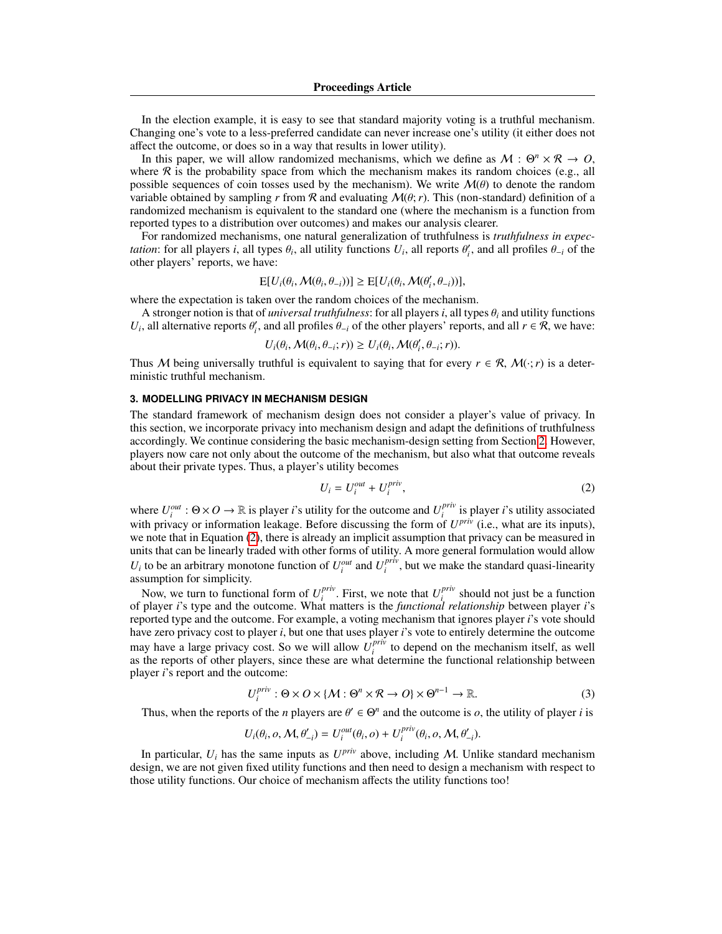In the election example, it is easy to see that standard majority voting is a truthful mechanism. Changing one's vote to a less-preferred candidate can never increase one's utility (it either does not affect the outcome, or does so in a way that results in lower utility).

In this paper, we will allow randomized mechanisms, which we define as  $M : \Theta^n \times \mathcal{R} \to O$ , where R is the probability space from which the mechanism makes its random choices (e.g., all possible sequences of coin tosses used by the mechanism). We write  $\mathcal{M}(\theta)$  to denote the random variable obtained by sampling *r* from  $\mathcal R$  and evaluating  $\mathcal M(\theta; r)$ . This (non-standard) definition of a randomized mechanism is equivalent to the standard one (where the mechanism is a function from reported types to a distribution over outcomes) and makes our analysis clearer.

For randomized mechanisms, one natural generalization of truthfulness is *truthfulness in expectation*: for all players *i*, all types  $\theta_i$ , all utility functions  $U_i$ , all reports  $\theta'_i$ , and all profiles  $\theta_{-i}$  of the other players' reports, we have: other players' reports, we have:

$$
E[U_i(\theta_i, \mathcal{M}(\theta_i, \theta_{-i}))] \ge E[U_i(\theta_i, \mathcal{M}(\theta'_i, \theta_{-i}))],
$$

where the expectation is taken over the random choices of the mechanism.

A stronger notion is that of *universal truthfulness*: for all players *<sup>i</sup>*, all types <sup>θ</sup>*<sup>i</sup>* and utility functions *U*<sub>*i*</sub>, all alternative reports  $\theta'_i$ , and all profiles  $\theta_{-i}$  of the other players' reports, and all  $r \in \mathcal{R}$ , we have:

$$
U_i(\theta_i, \mathcal{M}(\theta_i, \theta_{-i}; r)) \ge U_i(\theta_i, \mathcal{M}(\theta_i', \theta_{-i}; r)).
$$

Thus M being universally truthful is equivalent to saying that for every  $r \in \mathcal{R}$ ,  $\mathcal{M}(\cdot; r)$  is a deterministic truthful mechanism.

# <span id="page-5-1"></span>**3. MODELLING PRIVACY IN MECHANISM DESIGN**

The standard framework of mechanism design does not consider a player's value of privacy. In this section, we incorporate privacy into mechanism design and adapt the definitions of truthfulness accordingly. We continue considering the basic mechanism-design setting from Section [2.](#page-4-2) However, players now care not only about the outcome of the mechanism, but also what that outcome reveals about their private types. Thus, a player's utility becomes

<span id="page-5-0"></span>
$$
U_i = U_i^{out} + U_i^{priv}, \t\t(2)
$$

where  $U_i^{out}$  :  $\Theta \times O \to \mathbb{R}$  is player *i*'s utility for the outcome and  $U_i^{priv}$ *i* is player *i*'s utility associated with privacy or information leakage. Before discussing the form of  $U^{priv}$  (i.e., what are its inputs), we note that in Equation [\(2\)](#page-5-0), there is already an implicit assumption that privacy can be measured in units that can be linearly traded with other forms of utility. A more general formulation would allow  $U_i$  to be an arbitrary monotone function of  $U_i^{out}$  and  $U_i^{priv}$  $i_i^{priv}$ , but we make the standard quasi-linearity assumption for simplicity.

Now, we turn to functional form of  $U_i^{priv}$ . First, we note that  $U_i^{priv}$  should not just be a function  $\overline{\text{if}}$  is type and the outcome. What matters is the *functional relationship* between player *i*'s of player *i*'s type and the outcome. What matters is the *functional relationship* between player *i*'s reported type and the outcome. For example, a voting mechanism that ignores player *i*'s vote should have zero privacy cost to player *i*, but one that uses player *i*'s vote to entirely determine the outcome may have a large privacy cost. So we will allow  $U_i^{priv}$  $i<sup>priv</sup>$  to depend on the mechanism itself, as well as the reports of other players, since these are what determine the functional relationship between player *i*'s report and the outcome:

$$
U_i^{priv}: \Theta \times O \times \{M: \Theta^n \times \mathcal{R} \to O\} \times \Theta^{n-1} \to \mathbb{R}.
$$
 (3)

Thus, when the reports of the *n* players are  $\theta' \in \Theta^n$  and the outcome is *o*, the utility of player *i* is

$$
U_i(\theta_i, o, \mathcal{M}, \theta'_{-i}) = U_i^{out}(\theta_i, o) + U_i^{priv}(\theta_i, o, \mathcal{M}, \theta'_{-i}).
$$

In particular,  $U_i$  has the same inputs as  $U^{priv}$  above, including M. Unlike standard mechanism design, we are not given fixed utility functions and then need to design a mechanism with respect to those utility functions. Our choice of mechanism affects the utility functions too!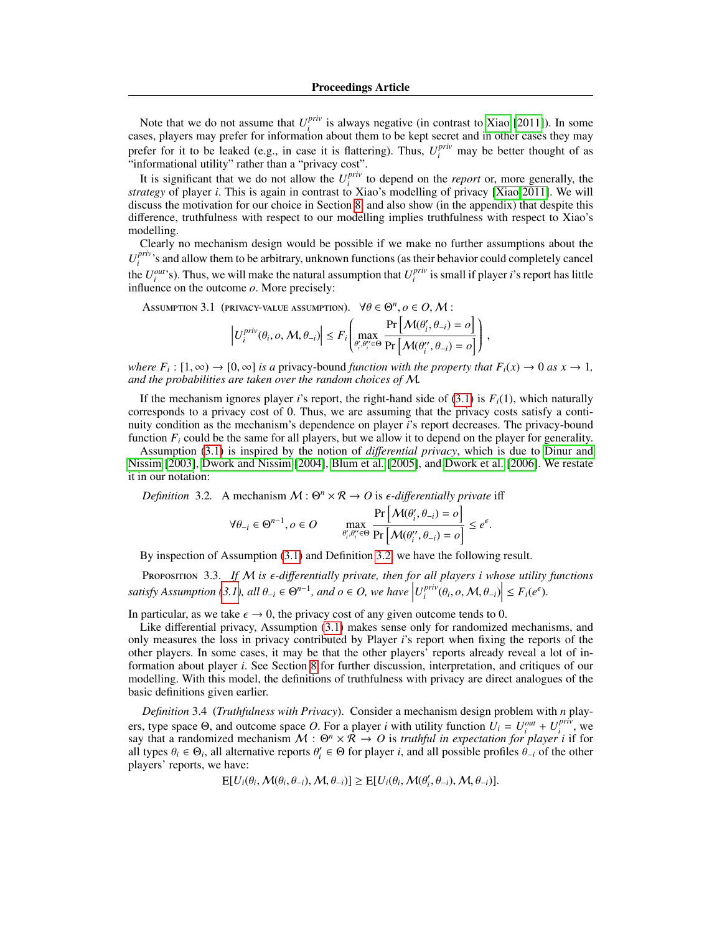Note that we do not assume that  $U_i^{priv}$  is always negative (in contrast to [Xiao](#page-17-3) [\[2011\]](#page-17-3)). In some Front that we do not assume that  $\sigma_i$  is always negative (in contrast to Xiao [2011]). In some cases, players may prefer for information about them to be kept secret and in other cases they may prefer for it to be leaked (e.g., in case it is flattering). Thus,  $U_i^{priv}$  may be better thought of as "informational utility" rather than a "privacy cost".

It is significant that we do not allow the  $U_i^{priv}$  $\sum_{i=1}^{priv}$  to depend on the *report* or, more generally, the *strategy* of player *i*. This is again in contrast to Xiao's modelling of privacy [\[Xiao 2011\]](#page-17-3). We will discuss the motivation for our choice in Section [8,](#page-15-0) and also show (in the appendix) that despite this difference, truthfulness with respect to our modelling implies truthfulness with respect to Xiao's modelling.

Clearly no mechanism design would be possible if we make no further assumptions about the  $U_i^{priv}$ *i*<sup>*priv*</sup>, s and allow them to be arbitrary, unknown functions (as their behavior could completely cancel the  $U_i^{out}$ 's). Thus, we will make the natural assumption that  $U_i^{priv}$ *i* is small if player *i*'s report has little influence on the outcome *o*. More precisely:

Assumption 3.1 (privacy-value assumption).  $\forall \theta \in \Theta^n, \rho \in O, \mathcal{M}:$ 

<span id="page-6-0"></span>
$$
\left| U_i^{priv}(\theta_i, o, \mathcal{M}, \theta_{-i}) \right| \le F_i \left( \max_{\theta'_i, \theta''_i \in \Theta} \frac{\Pr\left[ \mathcal{M}(\theta'_i, \theta_{-i}) = o \right]}{\Pr\left[ \mathcal{M}(\theta''_i, \theta_{-i}) = o \right]} \right)
$$

*where*  $F_i$ :  $[1, \infty) \rightarrow [0, \infty]$  *is a* privacy-bound *function with the property that*  $F_i(x) \rightarrow 0$  *as*  $x \rightarrow 1$ *,* and the probabilities are taken over the random choices of M *and the probabilities are taken over the random choices of* M*.*

<span id="page-6-2"></span>,

If the mechanism ignores player *i*'s report, the right-hand side of  $(3.1)$  is  $F_i(1)$ , which naturally corresponds to a privacy cost of 0. Thus, we are assuming that the privacy costs satisfy a continuity condition as the mechanism's dependence on player *i*'s report decreases. The privacy-bound function  $F_i$  could be the same for all players, but we allow it to depend on the player for generality.

Assumption [\(3.1\)](#page-6-0) is inspired by the notion of *di*ff*erential privacy*, which is due to [Dinur and](#page-17-15) [Nissim](#page-17-15) [\[2003\]](#page-17-15), [Dwork and Nissim](#page-17-16) [\[2004\]](#page-17-16), [Blum et al.](#page-17-17) [\[2005\]](#page-17-17), and [Dwork et al.](#page-17-0) [\[2006\]](#page-17-0). We restate it in our notation:

*Definition* 3.2. A mechanism  $M : \Theta^n \times \mathbb{R} \to O$  is  $\epsilon$ -differentially private iff

<span id="page-6-1"></span>
$$
\forall \theta_{-i} \in \Theta^{n-1}, o \in O \qquad \max_{\theta'_i, \theta''_i \in \Theta} \frac{\Pr\left[\mathcal{M}(\theta'_i, \theta_{-i}) = o\right]}{\Pr\left[\mathcal{M}(\theta''_i, \theta_{-i}) = o\right]} \le e^{\epsilon}.
$$

By inspection of Assumption [\(3.1\)](#page-6-0) and Definition [3.2,](#page-6-1) we have the following result.

PROPOSITION 3.3. If M is  $\epsilon$ -differentially private, then for all players i whose utility functions *satisfy Assumption* [\(3.1\)](#page-6-0), all  $\theta_{-i} \in \Theta^{n-1}$ , and  $o \in O$ , we have  $\left|U_i^{priv}\right|$  $\left| \sum_{i}^{priv}(\theta_i, o, \mathcal{M}, \theta_{-i}) \right| \leq F_i(e^{\epsilon}).$ 

In particular, as we take  $\epsilon \to 0$ , the privacy cost of any given outcome tends to 0.

Like differential privacy, Assumption [\(3.1\)](#page-6-0) makes sense only for randomized mechanisms, and only measures the loss in privacy contributed by Player *i*'s report when fixing the reports of the other players. In some cases, it may be that the other players' reports already reveal a lot of information about player *i*. See Section [8](#page-15-0) for further discussion, interpretation, and critiques of our modelling. With this model, the definitions of truthfulness with privacy are direct analogues of the basic definitions given earlier.

*Definition* 3.4 (*Truthfulness with Privacy*). Consider a mechanism design problem with *n* players, type space  $\Theta$ , and outcome space O. For a player *i* with utility function  $U_i = U_i^{out} + U_i^{priv}$ , we  $i$  say that a randomized mechanism  $M : \Theta^n \times \mathcal{R} \to O$  is *truthful in expectation for player i* if for all types  $\theta_i \in \Theta_i$ , all alternative reports  $\theta'_i \in \Theta$  for player *i*, and all possible profiles  $\hat{\theta}_{-i}$  of the other players' reports we have: players' reports, we have:

 $E[U_i(\theta_i, \mathcal{M}(\theta_i, \theta_{-i}), \mathcal{M}, \theta_{-i})] \ge E[U_i(\theta_i, \mathcal{M}(\theta'_i, \theta_{-i}), \mathcal{M}, \theta_{-i})].$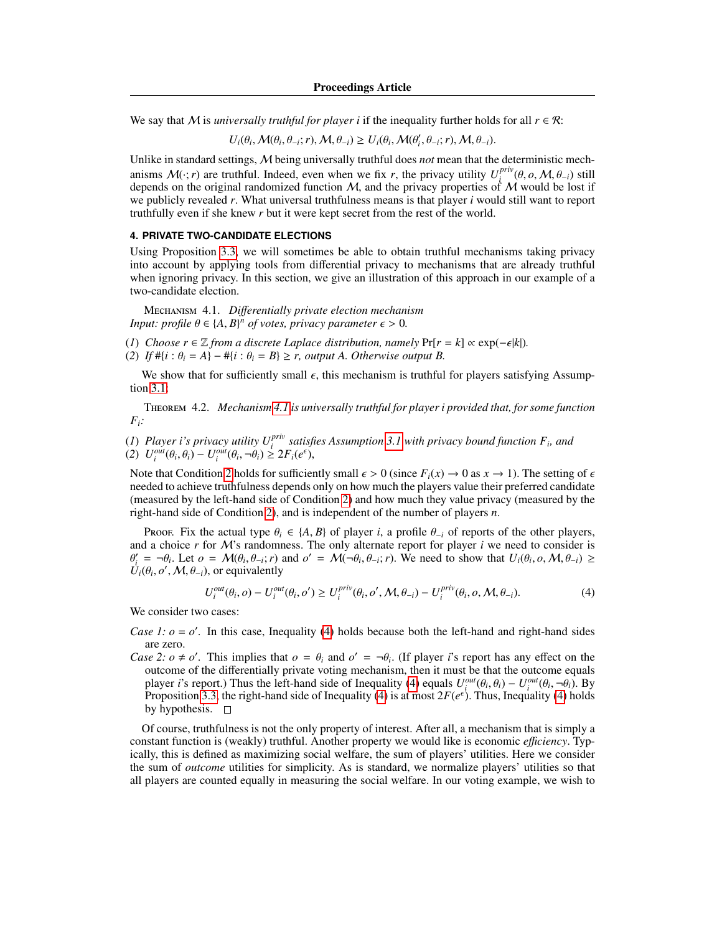We say that M is *universally truthful for player i* if the inequality further holds for all  $r \in \mathcal{R}$ :

$$
U_i(\theta_i, \mathcal{M}(\theta_i, \theta_{-i}; r), \mathcal{M}, \theta_{-i}) \ge U_i(\theta_i, \mathcal{M}(\theta'_i, \theta_{-i}; r), \mathcal{M}, \theta_{-i}).
$$

Unlike in standard settings, M being universally truthful does *not* mean that the deterministic mechanisms  $\mathcal{M}(\cdot; r)$  are truthful. Indeed, even when we fix *r*, the privacy utility  $U_i^{priv}$ anisms  $M(\cdot; r)$  are truthful. Indeed, even when we fix r, the privacy utility  $U_i^{prv}(\theta, o, M, \theta_{-i})$  still depends on the original randomized function M, and the privacy properties of M would be lost if we publicly revealed *r*. What universal truthfulness means is that player *i* would still want to report truthfully even if she knew *r* but it were kept secret from the rest of the world.

# **4. PRIVATE TWO-CANDIDATE ELECTIONS**

Using Proposition [3.3,](#page-6-2) we will sometimes be able to obtain truthful mechanisms taking privacy into account by applying tools from differential privacy to mechanisms that are already truthful when ignoring privacy. In this section, we give an illustration of this approach in our example of a two-candidate election.

<span id="page-7-0"></span>Mechanism 4.1. *Di*ff*erentially private election mechanism Input: profile*  $\theta \in \{A, B\}^n$  *of votes, privacy parameter*  $\epsilon > 0$ *.* 

(*1*) *Choose*  $r \in \mathbb{Z}$  *from a discrete Laplace distribution, namely*  $Pr[r = k] \propto exp(-\epsilon|k|)$ *.* 

(2) *If*  $\#\{i : \theta_i = A\} - \#\{i : \theta_i = B\} \ge r$ , *output A. Otherwise output B.* 

<span id="page-7-3"></span>We show that for sufficiently small  $\epsilon$ , this mechanism is truthful for players satisfying Assumption [3.1:](#page-6-0)

Theorem 4.2. *Mechanism [4.1](#page-7-0) is universally truthful for player i provided that, for some function Fi:*

<span id="page-7-1"></span>(*1*) *Player i's privacy utility*  $U_i^{priv}$  *satisfies Assumption [3.1](#page-6-0) with privacy bound function*  $F_i$ *, and* (2)  $U_i^{out}(\theta_i, \theta_i) - U_i^{out}(\theta_i, \neg \theta_i) \geq 2F_i(e^{\epsilon}),$ 

Note that Condition [2](#page-7-1) holds for sufficiently small  $\epsilon > 0$  (since  $F_i(x) \to 0$  as  $x \to 1$ ). The setting of  $\epsilon$ needed to achieve truthfulness depends only on how much the players value their preferred candidate (measured by the left-hand side of Condition [2\)](#page-7-1) and how much they value privacy (measured by the right-hand side of Condition [2\)](#page-7-1), and is independent of the number of players *n*.

Proof. Fix the actual type  $\theta_i \in \{A, B\}$  of player *i*, a profile  $\theta_{-i}$  of reports of the other players, and a choice  $r$  for  $M$ 's randomness. The only alternate report for player  $i$  we need to consider is  $\theta_i = \neg \theta_i$ . Let  $o = N(\theta_i, \theta_{-i}; r)$ ;<br> $U_i(\theta_i, o', M, \theta_{-i})$ , or equivalently  $\mathcal{U}'_i = \neg \theta_i$ . Let  $o = \mathcal{M}(\theta_i, \theta_{-i}; r)$  and  $o' = \mathcal{M}(\neg \theta_i, \theta_{-i}; r)$ . We need to show that  $U_i(\theta_i, o, \mathcal{M}, \theta_{-i}) \ge$ <br>*L*( $\theta_i$ ,  $o' \mathcal{M}(\theta_i)$ ) or equivalently

<span id="page-7-2"></span>
$$
U_i^{out}(\theta_i, o) - U_i^{out}(\theta_i, o') \ge U_i^{priv}(\theta_i, o', M, \theta_{-i}) - U_i^{priv}(\theta_i, o, M, \theta_{-i}).
$$
\n(4)

We consider two cases:

- *Case 1:*  $o = o'$ *.* In this case, Inequality [\(4\)](#page-7-2) holds because both the left-hand and right-hand sides are zero.
- *Case 2: o*  $\neq$  *o'*. This implies that *o* =  $\theta_i$  and *o'* =  $\neg \theta_i$ . (If player *i*'s report has any effect on the outcome of the differentially private voting mechanism then it must be that the outcome equals outcome of the differentially private voting mechanism, then it must be that the outcome equals player *i*'s report.) Thus the left-hand side of Inequality [\(4\)](#page-7-2) equals  $U_{\ell}^{out}(\theta_i, \theta_i) - U_{\ell}^{out}(\theta_i, -\theta_i)$ . By<br>Proposition 3.3, the right-hand side of Inequality (4) is at most  $2F(e^{\epsilon})$ . Thus Inequality (4) holds player *i*'s report.) Thus the left-hand side of Inequality [\(4\)](#page-7-2) equals  $U_i^{out}(\theta_i, \theta_i) - U_i^{out}(\theta_i, \neg \theta_i)$ . By Proposition [3.3,](#page-6-2) the right-hand side of Inequality (4) is at most  $2F(e^{\epsilon})$ . Thus, Inequality (4) holds by hypothesis.  $\Box$

Of course, truthfulness is not the only property of interest. After all, a mechanism that is simply a constant function is (weakly) truthful. Another property we would like is economic *e*ffi*ciency*. Typically, this is defined as maximizing social welfare, the sum of players' utilities. Here we consider the sum of *outcome* utilities for simplicity. As is standard, we normalize players' utilities so that all players are counted equally in measuring the social welfare. In our voting example, we wish to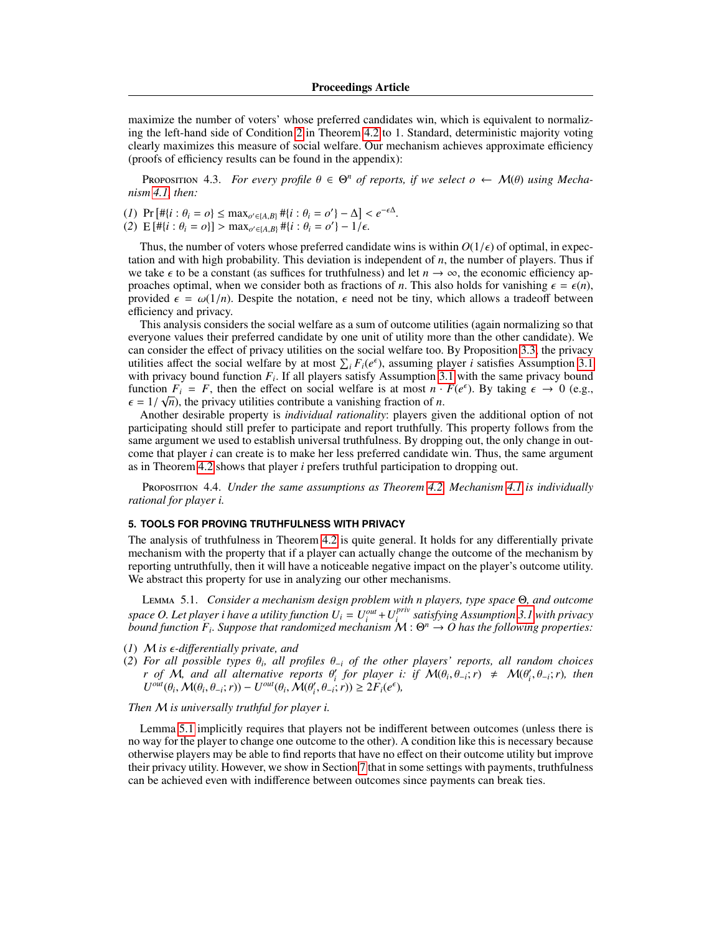maximize the number of voters' whose preferred candidates win, which is equivalent to normalizing the left-hand side of Condition [2](#page-7-1) in Theorem [4.2](#page-7-3) to 1. Standard, deterministic majority voting clearly maximizes this measure of social welfare. Our mechanism achieves approximate efficiency (proofs of efficiency results can be found in the appendix):

<span id="page-8-1"></span>PROPOSITION 4.3. *For every profile*  $\theta \in \Theta^n$  *of reports, if we select*  $o \leftarrow \mathcal{M}(\theta)$  *using Mecha-m 4.1 then nism [4.1,](#page-7-0) then:*

(*I*) Pr  $[\# \{i : \theta_i = o\} \le \max_{o' \in \{A, B\}} \# \{i : \theta_i = o' \} - \Delta] < e^{-\epsilon \Delta}$ .<br>
(*2*) E  $[\# \{i : \theta_i = o\}] > \max_{o' \in \{A, B\}} \# \{i : \theta_i = o' \} - 1/\epsilon$ 

(2)  $E[\hat{H}\{i : \theta_i = o\}] > \max_{o' \in [A,B]} \hat{H}\{i : \theta_i = o'\} - 1/\epsilon.$ 

Thus, the number of voters whose preferred candidate wins is within  $O(1/\epsilon)$  of optimal, in expectation and with high probability. This deviation is independent of *n*, the number of players. Thus if we take  $\epsilon$  to be a constant (as suffices for truthfulness) and let  $n \to \infty$ , the economic efficiency approaches optimal, when we consider both as fractions of *n*. This also holds for vanishing  $\epsilon = \epsilon(n)$ , provided  $\epsilon = \omega(1/n)$ . Despite the notation,  $\epsilon$  need not be tiny, which allows a tradeoff between efficiency and privacy.

This analysis considers the social welfare as a sum of outcome utilities (again normalizing so that everyone values their preferred candidate by one unit of utility more than the other candidate). We can consider the effect of privacy utilities on the social welfare too. By Proposition [3.3,](#page-6-2) the privacy utilities affect the social welfare by at most  $\sum_i F_i(e^{\epsilon})$ , assuming player *i* satisfies Assumption [3.1](#page-6-0) with privacy bound function  $F_i$ . If all players satisfy Assumption [3.1](#page-6-0) with the same privacy bound function  $F_i = F$ , then the effect on social welfare is at most  $n \cdot F(e^{\epsilon})$ . By taking  $\epsilon \to 0$  (e.g.,  $\epsilon = 1/\sqrt{n}$ ) the privacy utilities contribute a vanishing fraction of *n*  $\epsilon = 1/\sqrt{n}$ , the privacy utilities contribute a vanishing fraction of *n*.<br>Another desirable property is *individual rationality*: players give

Another desirable property is *individual rationality*: players given the additional option of not participating should still prefer to participate and report truthfully. This property follows from the same argument we used to establish universal truthfulness. By dropping out, the only change in outcome that player *i* can create is to make her less preferred candidate win. Thus, the same argument as in Theorem [4.2](#page-7-3) shows that player *i* prefers truthful participation to dropping out.

Proposition 4.4. *Under the same assumptions as Theorem [4.2,](#page-7-3) Mechanism [4.1](#page-7-0) is individually rational for player i.*

# **5. TOOLS FOR PROVING TRUTHFULNESS WITH PRIVACY**

The analysis of truthfulness in Theorem [4.2](#page-7-3) is quite general. It holds for any differentially private mechanism with the property that if a player can actually change the outcome of the mechanism by reporting untruthfully, then it will have a noticeable negative impact on the player's outcome utility. We abstract this property for use in analyzing our other mechanisms.

<span id="page-8-0"></span>Lemma 5.1. *Consider a mechanism design problem with n players, type space* Θ*, and outcome space O. Let player i have a utility function*  $U_i = U_i^{out} + U_i^{priv}$ *i satisfying Assumption [3.1](#page-6-0) with privacy bound function F<sub>i</sub>. Suppose that randomized mechanism*  $\mathcal{M}: \Theta^n \to O$  has the following properties:

- (*1*) <sup>M</sup> *is -di*ff*erentially private, and*
- (2) For all possible types  $\theta_i$ , all profiles  $\theta_{-i}$  of the other players' reports, all random choices r of M and all alternative reports  $\theta'$ , for player i; if M( $\theta$ ,  $\theta$ ,  $\theta$ ) ≠ M( $\theta'$ ,  $\theta$ ,  $\theta$ ); then *r* of  $\mathcal{M}$ , and all alternative reports  $\theta'_i$  for player i: if  $\mathcal{M}(\theta_i, \theta_{-i}; r) \neq \mathcal{M}(\theta'_i, \theta_{-i}; r)$ , then  $U^{out}(\theta_i, \mathcal{M}(\theta_i, \theta_{-i}; r)) = U^{out}(\theta_i, \mathcal{M}(\theta'_i, \theta_{-i}; r)) > 2F_i(e^{\epsilon})$  $U^{out}(\theta_i, \mathcal{M}(\theta_i, \theta_{-i}; r)) - U^{out}(\theta_i, \mathcal{M}(\theta'_i, \theta_{-i}; r)) \geq 2F_i(e^{\epsilon}),$

# *Then* M *is universally truthful for player i.*

Lemma [5.1](#page-8-0) implicitly requires that players not be indifferent between outcomes (unless there is no way for the player to change one outcome to the other). A condition like this is necessary because otherwise players may be able to find reports that have no effect on their outcome utility but improve their privacy utility. However, we show in Section [7](#page-11-0) that in some settings with payments, truthfulness can be achieved even with indifference between outcomes since payments can break ties.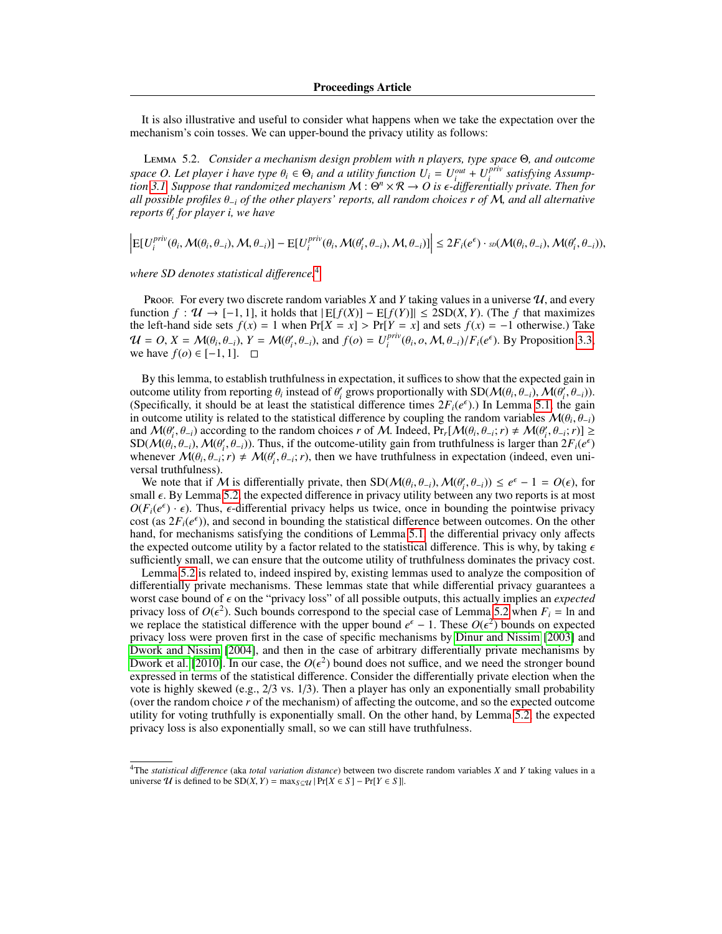<span id="page-9-1"></span>It is also illustrative and useful to consider what happens when we take the expectation over the mechanism's coin tosses. We can upper-bound the privacy utility as follows:

Lemma 5.2. *Consider a mechanism design problem with n players, type space* Θ*, and outcome space O. Let player i have type*  $\theta_i \in \Theta_i$  *and a utility function*  $U_i = U_i^{out} + U_i^{priv}$ <br>*tion* 3.1 Suppose that randomized mechanism  $M : \Theta^n \times \mathbb{R} \to O$  is  $\epsilon$ -differentia *i satisfying Assumption* [3.1.](#page-6-0) Suppose that randomized mechanism  $M: \Theta^n \times \mathcal{R} \to O$  is e-differentially private. Then for<br>all possible profiles θ : of the other players' reports, all random choices r of M, and all alternative *all possible profiles* <sup>θ</sup>−*<sup>i</sup> of the other players' reports, all random choices r of* <sup>M</sup>*, and all alternative reports*  $θ'$ <sub>*i*</sub> *for player i*, we have

 $\left| \text{E}[U_{i}^{priv} \right|$  $\mathcal{L}_i^{priv}(\theta_i, \mathcal{M}(\theta_i, \theta_{-i}), \mathcal{M}, \theta_{-i})] - \text{E}[U_i^{priv}]$  $\left| \sum_{i}^{priv}(\theta_i, \mathcal{M}(\theta'_i, \theta_{-i}), \mathcal{M}, \theta_{-i}) \right| \leq 2F_i(e^{\epsilon}) \cdot \mathfrak{so}(\mathcal{M}(\theta_i, \theta_{-i}), \mathcal{M}(\theta'_i, \theta_{-i})),$ 

*where SD denotes statistical di*ff*erence.*[4](#page-9-0)

Proof. For every two discrete random variables *X* and *Y* taking values in a universe  $U$ , and every function *<sup>f</sup>* : U → [−1, 1], it holds that <sup>|</sup> E[*f*(*X*)] <sup>−</sup> E[*f*(*Y*)]| ≤ 2SD(*X*, *<sup>Y</sup>*). (The *<sup>f</sup>* that maximizes the left-hand side sets  $f(x) = 1$  when  $Pr[X = x] > Pr[Y = x]$  and sets  $f(x) = -1$  otherwise.) Take  $U = O, X = \mathcal{M}(\theta_i, \theta_{-i}), Y = \mathcal{M}(\theta'_i, \theta_{-i}), \text{ and } f(o) = U_i^{priv}$ <br>we have  $f(o) \in [-1, 1]$  $\int_i^{prv} (\theta_i, o, \mathcal{M}, \theta_{-i}) / F_i(e^{\epsilon})$ . By Proposition [3.3,](#page-6-2) we have  $f(o) \in [-1, 1]$ .  $\square$ 

By this lemma, to establish truthfulness in expectation, it suffices to show that the expected gain in outcome utility from reporting  $\theta_i$  instead of  $\theta'_i$  grows proportionally with  $SD(\mathcal{M}(\theta_i, \theta_{-i}), \mathcal{M}(\theta_i, \theta_{-i}))$ .<br>(Specifically it should be at least the statistical difference times  $2F_i(\mathcal{E}^{\epsilon})$ ) In Lemma 5.1, the (Specifically, it should be at least the statistical difference times  $2F_i(e^{\epsilon})$ .) In Lemma [5.1,](#page-8-0) the gain in outcome utility is related to the statistical difference by coupling the random variables  $\mathcal{M}(\theta_i, \theta_{-i})$ <br>and  $\mathcal{M}(\theta', \theta_{-i})$  according to the random choices r of M. Indeed, Pr  $[\mathcal{M}(\theta, \theta_{-i}, \tau) \neq \mathcal{M}(\theta', \theta_{-i$ and  $\mathcal{M}(\theta'_i, \theta_{-i})$  according to the random choices *r* of M. Indeed,  $Pr_r[\mathcal{M}(\theta_i, \theta_{-i}; r) \neq \mathcal{M}(\theta'_i, \theta_{-i}; r)] \ge$ <br>SD( $\mathcal{M}(\theta_i, \theta_{-i})$ )  $\mathcal{M}(\theta'_i, \theta_{-i})$ ) Thus if the outcome-utility gain from truthfulness is la and  $\mathcal{M}(\theta_i, \theta_{-i})$  according to the random choices r of  $\mathcal{M}$ . Indeed,  $\Pr_t[\mathcal{M}(\theta_i, \theta_{-i}; r) \neq \mathcal{M}(\theta_i, \theta_{-i}; r)] \ge$ <br>SD( $\mathcal{M}(\theta_i, \theta_{-i}), \mathcal{M}(\theta_i', \theta_{-i})$ ). Thus, if the outcome-utility gain from truthfulness is whenever  $\mathcal{M}(\theta_i, \theta_{-i}; r) \neq \mathcal{M}(\theta'_i, \theta_{-i}; r)$ , then we have truthfulness in expectation (indeed, even uni-<br>versal truthfulness) wnenever *N*(*θ<sub>i</sub>*, *θ*<sub>−i</sub>;<br>versal truthfulness).

We note that if M is differentially private, then  $SD(\mathcal{M}(\theta_i, \theta_{-i}), \mathcal{M}(\theta_i', \theta_{-i})) \leq e^{\epsilon} - 1 = O(\epsilon)$ , for all  $\epsilon$ . By Lemma 5.2, the expected difference in privacy utility between any two reports is at most small  $\epsilon$ . By Lemma [5.2,](#page-9-1) the expected difference in privacy utility between any two reports is at most  $O(F_i(e^{\epsilon}) \cdot \epsilon)$ . Thus,  $\epsilon$ -differential privacy helps us twice, once in bounding the pointwise privacy cost (as  $2F_i(e^{\epsilon})$ ) and second in bounding the statistical difference between outcomes. On the other cost (as  $2F_i(e^{\epsilon})$ ), and second in bounding the statistical difference between outcomes. On the other hand, for mechanisms satisfying the conditions of Lemma [5.1,](#page-8-0) the differential privacy only affects the expected outcome utility by a factor related to the statistical difference. This is why, by taking  $\epsilon$ sufficiently small, we can ensure that the outcome utility of truthfulness dominates the privacy cost.

Lemma [5.2](#page-9-1) is related to, indeed inspired by, existing lemmas used to analyze the composition of differentially private mechanisms. These lemmas state that while differential privacy guarantees a worst case bound of  $\epsilon$  on the "privacy loss" of all possible outputs, this actually implies an *expected* privacy loss of  $O(\epsilon^2)$ . Such bounds correspond to the special case of Lemma [5.2](#page-9-1) when  $F_i = \ln$  and we replace the statistical difference with the upper bound  $e^{\epsilon} - 1$ . These  $O(\epsilon^2)$  bounds on expected we replace the statistical difference with the upper bound  $e^{\epsilon} - 1$ . These  $O(\epsilon^2)$  bounds on expected privacy loss were proven first in the case of specific mechanisms by Dinur and Nissim [2003] and privacy loss were proven first in the case of specific mechanisms by [Dinur and Nissim](#page-17-15) [\[2003\]](#page-17-15) and [Dwork and Nissim](#page-17-16) [\[2004\]](#page-17-16), and then in the case of arbitrary differentially private mechanisms by [Dwork et al.](#page-17-6) [\[2010\]](#page-17-6). In our case, the  $O(\epsilon^2)$  bound does not suffice, and we need the stronger bound expressed in terms of the statistical difference. Consider the differentially private election when the expressed in terms of the statistical difference. Consider the differentially private election when the vote is highly skewed (e.g., 2/3 vs. 1/3). Then a player has only an exponentially small probability (over the random choice *r* of the mechanism) of affecting the outcome, and so the expected outcome utility for voting truthfully is exponentially small. On the other hand, by Lemma [5.2,](#page-9-1) the expected privacy loss is also exponentially small, so we can still have truthfulness.

<span id="page-9-0"></span><sup>4</sup>The *statistical di*ff*erence* (aka *total variation distance*) between two discrete random variables *X* and *Y* taking values in a universe  $U$  is defined to be  $SD(X, Y) = \max_{S \subset U} |Pr[X \in S] - Pr[Y \in S]|$ .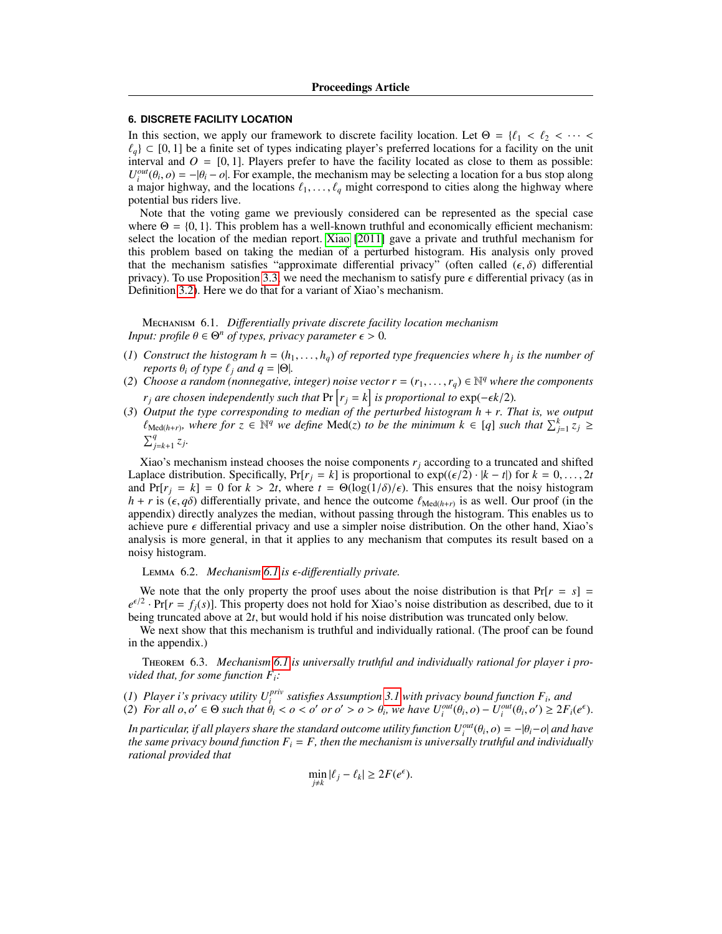## **6. DISCRETE FACILITY LOCATION**

In this section, we apply our framework to discrete facility location. Let  $\Theta = \{ \ell_1 < \ell_2 < \cdots < \ell_n \}$  $\ell_q$  ⊂ [0, 1] be a finite set of types indicating player's preferred locations for a facility on the unit interval and  $O = [0, 1]$ . Players prefer to have the facility located as close to them as possible:  $U_l^{out}(\theta_i, o) = -|\theta_i - o|$ . For example, the mechanism may be selecting a location for a bus stop along a major highway and the locations  $\ell_1$ ,  $\ell_2$  might correspond to cities along the highway where a major highway, and the locations  $\ell_1, \ldots, \ell_q$  might correspond to cities along the highway where potential bus riders live.

Note that the voting game we previously considered can be represented as the special case where  $\Theta = \{0, 1\}$ . This problem has a well-known truthful and economically efficient mechanism: select the location of the median report. [Xiao](#page-17-3) [\[2011\]](#page-17-3) gave a private and truthful mechanism for this problem based on taking the median of a perturbed histogram. His analysis only proved that the mechanism satisfies "approximate differential privacy" (often called  $(\epsilon, \delta)$  differential privacy). To use Proposition [3.3,](#page-6-2) we need the mechanism to satisfy pure  $\epsilon$  differential privacy (as in Definition [3.2\)](#page-6-1). Here we do that for a variant of Xiao's mechanism.

<span id="page-10-0"></span>Mechanism 6.1. *Di*ff*erentially private discrete facility location mechanism Input: profile*  $\theta \in \Theta^n$  *of types, privacy parameter*  $\epsilon > 0$ *.* 

- (*1*) Construct the histogram  $h = (h_1, \ldots, h_q)$  of reported type frequencies where  $h_j$  is the number of reports  $\theta_i$  of type  $f_i$  and  $a = |\Theta|$ *reports*  $\theta_i$  *of type*  $\ell_j$  *and*  $q = |\Theta|$ *.*
- (2) *Choose a random (nonnegative, integer) noise vector*  $r = (r_1, \ldots, r_q) \in \mathbb{N}^q$  *where the components r*<sub>*j*</sub> are chosen independently such that  $Pr\left[r_j = k\right]$  is proportional to  $exp(-\epsilon k/2)$ .<br>Output the type corresponding to median of the perturbed histogram  $h + r$ . The
- (*3*) *Output the type corresponding to median of the perturbed histogram h* + *r. That is, we output*  $\ell_{\text{Med}(h+r)}$ , where for  $z \in \mathbb{N}^q$  we define  $\text{Med}(z)$  *to be the minimum*  $k \in [q]$  *such that*  $\sum_{j=1}^k z_j \geq \sum_{j=1}^q z_j$  $\sum_{j=k+1}^{q} z_j$ .

Xiao's mechanism instead chooses the noise components  $r_j$  according to a truncated and shifted Laplace distribution. Specifically,  $Pr[r_j = k]$  is proportional to  $exp((\epsilon/2) \cdot |k - t|)$  for  $k = 0, \ldots, 2t$ and  $Pr[r_j = k] = 0$  for  $k > 2t$ , where  $t = \Theta(\log(1/\delta)/\epsilon)$ . This ensures that the noisy histogram *h* + *r* is  $(\epsilon, q\delta)$  differentially private, and hence the outcome  $\ell_{\text{Med}(h+r)}$  is as well. Our proof (in the appendix) directly analyzes the median without passing through the histogram. This enables us to appendix) directly analyzes the median, without passing through the histogram. This enables us to achieve pure  $\epsilon$  differential privacy and use a simpler noise distribution. On the other hand, Xiao's analysis is more general, in that it applies to any mechanism that computes its result based on a noisy histogram.

<sup>L</sup>emma 6.2. *Mechanism [6.1](#page-10-0) is -di*ff*erentially private.*

We note that the only property the proof uses about the noise distribution is that  $Pr[r = s] =$  $e^{\epsilon/2} \cdot Pr[r = f_j(s)]$ . This property does not hold for Xiao's noise distribution as described, due to it being truncated above at 2*t*, but would hold if his noise distribution was truncated only below.

We next show that this mechanism is truthful and individually rational. (The proof can be found in the appendix.)

Theorem 6.3. *Mechanism [6.1](#page-10-0) is universally truthful and individually rational for player i provided that, for some function Fi:*

(*1*) *Player i's privacy utility*  $U_i^{priv}$  *satisfies Assumption [3.1](#page-6-0) with privacy bound function*  $F_i$ *, and* 

(2) For all  $o, o' \in \Theta$  such that  $\theta_i < o < o'$  or  $o' > o > \theta_i$ , we have  $U_i^{out}(\theta_i, o) - U_i^{out}(\theta_i, o') \ge 2F_i(e^{\epsilon})$ .

*In particular, if all players share the standard outcome utility function*  $U_l^{out}(\theta_i, o) = -|\theta_i - o|$  *and have*<br>the same privacy bound function  $F_i = F$  then the mechanism is universally truthful and individually *the same privacy bound function*  $F_i = F$ , *then the mechanism is universally truthful and individually rational provided that*

$$
\min_{j \neq k} |\ell_j - \ell_k| \geq 2F(e^{\epsilon}).
$$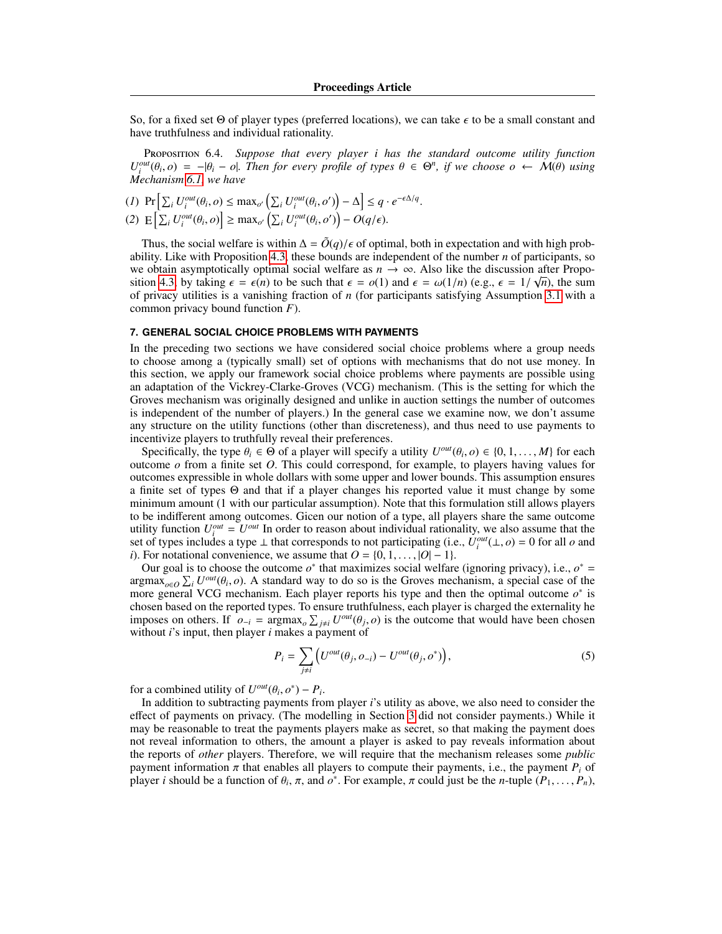So, for a fixed set  $\Theta$  of player types (preferred locations), we can take  $\epsilon$  to be a small constant and have truthfulness and individual rationality.

Proposition 6.4. *Suppose that every player i has the standard outcome utility function*  $U_l^{out}(\theta_i, o) = -|\theta_i - o|$ . Then for every profile of types  $\theta \in \Theta^n$ , if we choose  $o \leftarrow \mathcal{M}(\theta)$  using Mechanism 6.1 we have *Mechanism [6.1,](#page-10-0) we have*

$$
(1) \Pr\left[\sum_{i} U_{i}^{out}(\theta_{i}, o) \leq \max_{o'} \left(\sum_{i} U_{i}^{out}(\theta_{i}, o')\right) - \Delta\right] \leq q \cdot e^{-\epsilon \Delta/q}
$$
\n
$$
(2) \mathbb{E}\left[\sum_{i} U_{i}^{out}(\theta_{i}, o)\right] \geq \max_{o'} \left(\sum_{i} U_{i}^{out}(\theta_{i}, o')\right) - O(q/\epsilon).
$$

Thus, the social welfare is within  $\Delta = \tilde{O}(q)/\epsilon$  of optimal, both in expectation and with high probability. Like with Proposition [4.3,](#page-8-1) these bounds are independent of the number *n* of participants, so we obtain asymptotically optimal social welfare as  $n \to \infty$ . Also like the discussion after Propo-sition [4.3,](#page-8-1) by taking  $\epsilon = \epsilon(n)$  to be such that  $\epsilon = o(1)$  and  $\epsilon = \omega(1/n)$  (e.g.,  $\epsilon = 1/\sqrt{n}$ ), the sum of privacy utilities is a vanishing fraction of *n* (for participants satisfying Assumption 3.1 with a of privacy utilities is a vanishing fraction of *n* (for participants satisfying Assumption [3.1](#page-6-0) with a common privacy bound function *F*).

# <span id="page-11-0"></span>**7. GENERAL SOCIAL CHOICE PROBLEMS WITH PAYMENTS**

In the preceding two sections we have considered social choice problems where a group needs to choose among a (typically small) set of options with mechanisms that do not use money. In this section, we apply our framework social choice problems where payments are possible using an adaptation of the Vickrey-Clarke-Groves (VCG) mechanism. (This is the setting for which the Groves mechanism was originally designed and unlike in auction settings the number of outcomes is independent of the number of players.) In the general case we examine now, we don't assume any structure on the utility functions (other than discreteness), and thus need to use payments to incentivize players to truthfully reveal their preferences.

Specifically, the type  $\theta_i \in \Theta$  of a player will specify a utility  $U^{out}(\theta_i, o) \in \{0, 1, ..., M\}$  for each toome *o* from a finite set *O*. This could correspond for example to players having values for outcome  $\sigma$  from a finite set  $\sigma$ . This could correspond, for example, to players having values for outcomes expressible in whole dollars with some upper and lower bounds. This assumption ensures a finite set of types Θ and that if a player changes his reported value it must change by some minimum amount (1 with our particular assumption). Note that this formulation still allows players to be indifferent among outcomes. Gicen our notion of a type, all players share the same outcome utility function  $U_i^{out} = U^{out}$  In order to reason about individual rationality, we also assume that the set of types includes a type  $\perp$  that corresponds to not participating (i.e.,  $U_i^{out}(\perp, o) = 0$  for all *o* and *i*). For notational convenience, we assume that  $O = \{0, 1, \ldots, |O| - 1\}$ *i*). For notational convenience, we assume that  $O = \{0, 1, \ldots, |O| - 1\}.$ 

Our goal is to choose the outcome  $o^*$  that maximizes social welfare (ignoring privacy), i.e.,  $o^*$  =  $\argmax_{o \in O} \sum_i U^{out}(\theta_i, o)$ . A standard way to do so is the Groves mechanism, a special case of the more general VCG mechanism. Each player reports his type and then the optimal outcome  $o^*$  is more general VCG mechanism. Each player reports his type and then the optimal outcome  $o^*$  is chosen based on the reported types. To ensure truthfulness, each player is charged the externality he imposes on others. If  $o_{-i} = \argmax_o \sum_{j \neq i} U^{out}(\theta_j, o)$  is the outcome that would have been chosen without *i*'s input then player *i* makes a payment of without *i*'s input, then player *i* makes a payment of

<span id="page-11-1"></span>
$$
P_i = \sum_{j \neq i} \left( U^{out}(\theta_j, o_{-i}) - U^{out}(\theta_j, o^*) \right),\tag{5}
$$

for a combined utility of  $U^{out}(\theta_i, \sigma^*) - P_i$ <br>In addition to subtracting payments from

. In addition to subtracting payments from player *i*'s utility as above, we also need to consider the effect of payments on privacy. (The modelling in Section [3](#page-5-1) did not consider payments.) While it may be reasonable to treat the payments players make as secret, so that making the payment does not reveal information to others, the amount a player is asked to pay reveals information about the reports of *other* players. Therefore, we will require that the mechanism releases some *public* payment information  $\pi$  that enables all players to compute their payments, i.e., the payment  $P_i$  of player *i* should be a function of  $\theta_i$ ,  $\pi$ , and  $\sigma^*$ . For example,  $\pi$  could just be the *n*-tuple  $(P_1, \ldots, P_n)$ ,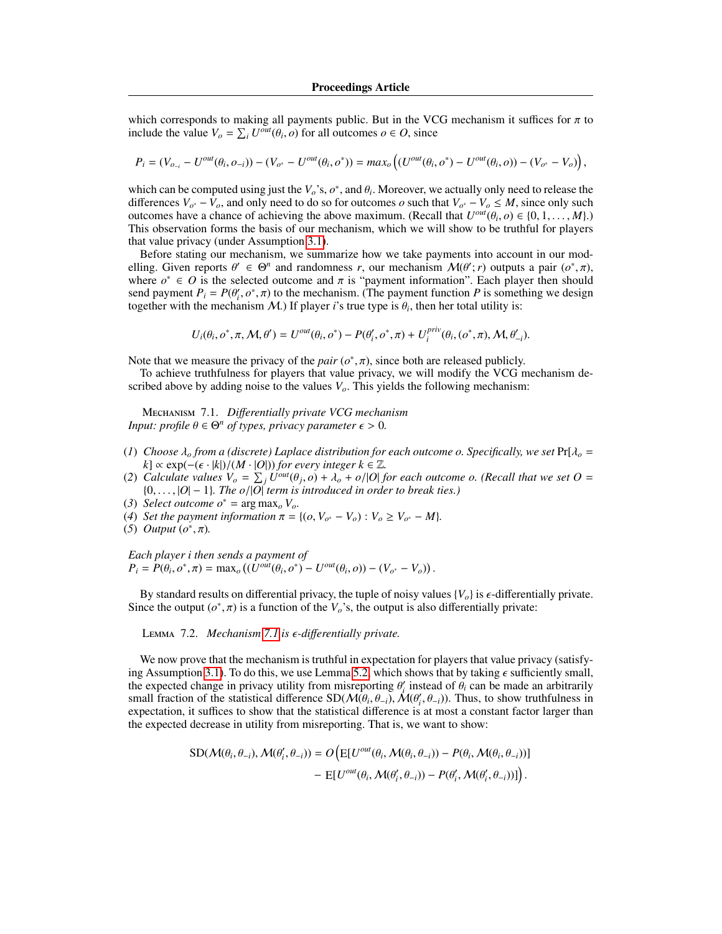which corresponds to making all payments public. But in the VCG mechanism it suffices for  $\pi$  to include the value  $V_o = \sum_i U^{out}(\theta_i, o)$  for all outcomes  $o \in O$ , since

$$
P_i = (V_{o_{-i}} - U^{out}(\theta_i, o_{-i})) - (V_{o^*} - U^{out}(\theta_i, o^*)) = max_o ((U^{out}(\theta_i, o^*) - U^{out}(\theta_i, o)) - (V_{o^*} - V_o)),
$$

which can be computed using just the  $V_o$ 's,  $o^*$ , and  $\theta_i$ . Moreover, we actually only need to release the differences  $V_{-i} - V_{-i}$  and only need to do so for outcomes  $o$  such that  $V_{-i} - V_{-i} \le M$  since only such differences  $V_{o^*} - V_o$ , and only need to do so for outcomes *o* such that  $V_{o^*} - V_o \leq M$ , since only such outcomes have a chance of achieving the above maximum. (Recall that  $U^{out}(\theta_i, o) \in \{0, 1, ..., M\}$ .)<br>This observation forms the basis of our mechanism which we will show to be truthful for players This observation forms the basis of our mechanism, which we will show to be truthful for players that value privacy (under Assumption [3.1\)](#page-6-0).

Before stating our mechanism, we summarize how we take payments into account in our modelling. Given reports  $\theta' \in \Theta^n$  and randomness *r*, our mechanism  $\mathcal{M}(\theta'; r)$  outputs a pair  $(o^*, \pi)$ , where  $o^* \in O$  is the selected outcome and  $\pi$  is "nayment information". Each player then should where  $o^* \in O$  is the selected outcome and  $\pi$  is "payment information". Each player then should send payment  $P_i = P(\theta' | o^* \pi)$  to the mechanism (The payment function P is something we design send payment  $P_i = P(\theta'_i, \sigma^*, \pi)$  to the mechanism. (The payment function *P* is something we design together with the mechanism *M*) If player *i*'s true type is  $\theta_i$ , then her total utility is: together with the mechanism  $M$ .) If player *i*'s true type is  $\theta_i$ , then her total utility is:

$$
U_i(\theta_i, o^*, \pi, \mathcal{M}, \theta') = U^{out}(\theta_i, o^*) - P(\theta'_i, o^*, \pi) + U_i^{priv}(\theta_i, (o^*, \pi), \mathcal{M}, \theta'_{-i}).
$$

Note that we measure the privacy of the *pair*  $(o^*, \pi)$ , since both are released publicly.<br>To achieve truthfulness for players that value privacy we will modify the VCG n

To achieve truthfulness for players that value privacy, we will modify the VCG mechanism described above by adding noise to the values  $V<sub>o</sub>$ . This yields the following mechanism:

<span id="page-12-0"></span>Mechanism 7.1. *Di*ff*erentially private VCG mechanism Input: profile*  $\theta \in \Theta^n$  *of types, privacy parameter*  $\epsilon > 0$ *.* 

- (*1*) *Choose*  $\lambda_o$  *from a (discrete) Laplace distribution for each outcome o. Specifically, we set*  $Pr[\lambda_o =$ *k*] ∝ exp(–( $\epsilon$  · |*k*|)/(*M* · |*O*|)) *for every integer k* ∈  $\mathbb{Z}$ *.*
- (2) *Calculate values*  $V_o = \sum_j U^{out}(\theta_j, o) + \lambda_o + o/|O|$  *for each outcome o.* (*Recall that we set O* = {0}  $|O| = 1$ } *The o.*  $|O|$  *term is introduced in order to break ties* } {0, . . . , <sup>|</sup>*O*| − <sup>1</sup>}*. The o*/|*O*<sup>|</sup> *term is introduced in order to break ties.)*
- (3) *Select outcome*  $o^* = \arg \max_o V_o$ .
- (*4*) *Set the payment information*  $\pi = \{ (o, V_{o^*} V_o) : V_o \ge V_{o^*} M \}.$ <br>(5) *Output*  $(o^* \pi)$
- (*5*) *Output*  $(o^*, \pi)$ *.*

*Each player i then sends a payment of*  $P_i = P(\theta_i, o^*, \pi) = \max_o ((\hat{U}^{out}(\theta_i, o^*) - U^{out}(\theta_i, o)) - (V_{o^*} - V_o)).$ 

By standard results on differential privacy, the tuple of noisy values  $\{V_o\}$  is  $\epsilon$ -differentially private. Since the output  $(o^*, \pi)$  is a function of the  $V_o$ 's, the output is also differentially private:

<sup>L</sup>emma 7.2. *Mechanism [7.1](#page-12-0) is -di*ff*erentially private.*

We now prove that the mechanism is truthful in expectation for players that value privacy (satisfy-ing Assumption [3.1\)](#page-6-0). To do this, we use Lemma [5.2,](#page-9-1) which shows that by taking  $\epsilon$  sufficiently small, the expected change in privacy utility from misreporting  $\theta'_i$  instead of  $\theta_i$  can be made an arbitrarily small fraction of the statistical difference SD( $\mathcal{M}(\theta, \theta_i)$ )  $\mathcal{M}(\theta', \theta_i)$ ) Thus to show truthfulness in small fraction of the statistical difference  $SD(M(\theta_i, \theta_{-i}), \mathcal{M}(\theta'_i, \theta_{-i}))$ . Thus, to show truthfulness in expectation it suffices to show that the statistical difference is at most a constant factor larger than expectation, it suffices to show that the statistical difference is at most a constant factor larger than the expected decrease in utility from misreporting. That is, we want to show:

$$
SD(M(\theta_i, \theta_{-i}), M(\theta'_i, \theta_{-i})) = O\left(E[U^{out}(\theta_i, M(\theta_i, \theta_{-i})) - P(\theta_i, M(\theta_i, \theta_{-i}))\right] - E[U^{out}(\theta_i, M(\theta'_i, \theta_{-i})) - P(\theta'_i, M(\theta'_i, \theta_{-i}))]\right).
$$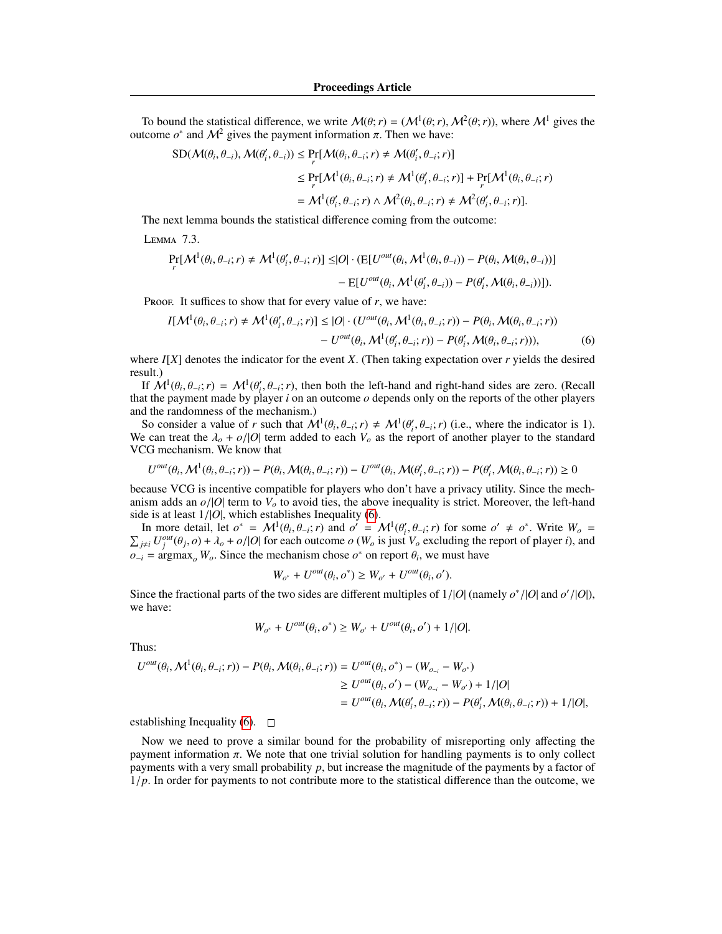To bound the statistical difference, we write  $M(\theta; r) = (M^1(\theta; r), M^2(\theta; r))$ , where  $M^1$  gives the tome  $\rho^*$  and  $M^2$  gives the payment information  $\pi$ . Then we have: outcome *o*<sup>\*</sup> and  $M^2$  gives the payment information π. Then we have:

$$
\begin{split} \text{SD}(\mathcal{M}(\theta_i, \theta_{-i}), \mathcal{M}(\theta'_i, \theta_{-i})) &\leq \Pr_{r}[\mathcal{M}(\theta_i, \theta_{-i}; r) \neq \mathcal{M}(\theta'_i, \theta_{-i}; r)] \\ &\leq \Pr_{r}[\mathcal{M}^1(\theta_i, \theta_{-i}; r) \neq \mathcal{M}^1(\theta'_i, \theta_{-i}; r)] + \Pr_{r}[\mathcal{M}^1(\theta_i, \theta_{-i}; r) \\ &= \mathcal{M}^1(\theta'_i, \theta_{-i}; r) \wedge \mathcal{M}^2(\theta_i, \theta_{-i}; r) \neq \mathcal{M}^2(\theta'_i, \theta_{-i}; r)]. \end{split}
$$

<span id="page-13-1"></span>The next lemma bounds the statistical difference coming from the outcome:

Lemma 7.3.

$$
\Pr_{r}[M^{1}(\theta_{i}, \theta_{-i}; r) \neq M^{1}(\theta'_{i}, \theta_{-i}; r)] \leq |O| \cdot (\mathbb{E}[U^{out}(\theta_{i}, \mathcal{M}^{1}(\theta_{i}, \theta_{-i})) - P(\theta_{i}, \mathcal{M}(\theta_{i}, \theta_{-i}))]
$$

$$
- \mathbb{E}[U^{out}(\theta_{i}, \mathcal{M}^{1}(\theta'_{i}, \theta_{-i})) - P(\theta'_{i}, \mathcal{M}(\theta_{i}, \theta_{-i}))].
$$

Proof. It suffices to show that for every value of  $r$ , we have:

$$
I[M^{1}(\theta_{i}, \theta_{-i}; r) \neq M^{1}(\theta'_{i}, \theta_{-i}; r)] \leq |O| \cdot (U^{out}(\theta_{i}, M^{1}(\theta_{i}, \theta_{-i}; r)) - P(\theta_{i}, M(\theta_{i}, \theta_{-i}; r)) - U^{out}(\theta_{i}, M^{1}(\theta'_{i}, \theta_{-i}; r)) - P(\theta'_{i}, M(\theta_{i}, \theta_{-i}; r))),
$$
\n
$$
(6)
$$

where *I*[*X*] denotes the indicator for the event *X*. (Then taking expectation over *r* yields the desired result.)

If  $\mathcal{M}^1(\theta_i, \theta_{-i}; r) = \mathcal{M}^1(\theta'_i, \theta_{-i}; r)$ , then both the left-hand and right-hand sides are zero. (Recall if the payment made by player *i* on an outcome *o* depends only on the reports of the other players If  $M^1(\theta_i, \theta_{-i}; r) = M^1(\theta_i, \theta_{-i}; r)$ , then both the left-hand and right-hand sides are zero. (Kecall that the payment made by player *i* on an outcome *o* depends only on the reports of the other players and the randomness of the mechanism.)

So consider a value of *r* such that  $\mathcal{M}^1(\theta_i, \theta_{-i}; r) \neq \mathcal{M}^1(\theta'_i, \theta_{-i}; r)$  (i.e., where the indicator is 1).<br>e. can treat the  $\lambda_+ + \rho/|\mathcal{O}|$  term added to each  $V_+$  as the report of another player to the stand So consider a value of *r* such that  $\mathcal{W}^*(\theta_i, \theta_{-i}; r) \neq \mathcal{W}^*(\theta_i, \theta_{-i}; r)$  (i.e., where the indicator is 1).<br>We can treat the  $\lambda_o + o/|O|$  term added to each  $V_o$  as the report of another player to the standard VCG VCG mechanism. We know that

$$
U^{out}(\theta_i, \mathcal{M}^1(\theta_i, \theta_{-i}; r)) - P(\theta_i, \mathcal{M}(\theta_i, \theta_{-i}; r)) - U^{out}(\theta_i, \mathcal{M}(\theta'_i, \theta_{-i}; r)) - P(\theta'_i, \mathcal{M}(\theta_i, \theta_{-i}; r)) \ge 0
$$

because VCG is incentive compatible for players who don't have a privacy utility. Since the mechanism adds an  $o/|O|$  term to  $V<sub>o</sub>$  to avoid ties, the above inequality is strict. Moreover, the left-hand side is at least 1/|*O*|, which establishes Inequality [\(6\)](#page-13-0).

In more detail, let  $o^* = \mathcal{M}^1(\theta_i, \theta_{-i}; r)$  and  $o' = \mathcal{M}^1(\theta'_i, \theta_{-i}; r)$  for some  $o' \neq o^*$ <br>*iii*  $U^{out}(\theta_i, o) + \lambda_{-} + o/|O|$  for each outcome *o* (*W<sub>i</sub>* is just *V<sub>i</sub>* excluding the report of In more detail, let  $o^* = M^1(\theta_i, \theta_{-i}; r)$  and  $o' = M^1(\theta'_i, \theta_{-i}; r)$  for some  $o' \neq o^*$ . Write  $W_o = \sum_{j \neq i} U_j^{out}(\theta_j, o) + \lambda_o + o/|O|$  for each outcome  $o(W_o$  is just  $V_o$  excluding the report of player *i*), and  $o$ .  $o_{-i}$  = argmax<sub>*o*</sub> *W<sub>o</sub>*. Since the mechanism chose  $o^*$  on report  $\theta_i$ , we must have

<span id="page-13-0"></span>
$$
W_{o^*} + U^{out}(\theta_i, o^*) \ge W_{o'} + U^{out}(\theta_i, o').
$$

Since the fractional parts of the two sides are different multiples of  $1/|O|$  (namely  $o^*/|O|$  and  $o'/|O|$ ), we have: we have:

$$
W_{o^*} + U^{out}(\theta_i, o^*) \ge W_{o'} + U^{out}(\theta_i, o') + 1/|O|.
$$

Thus:

$$
U^{out}(\theta_i, \mathcal{M}^1(\theta_i, \theta_{-i}; r)) - P(\theta_i, \mathcal{M}(\theta_i, \theta_{-i}; r)) = U^{out}(\theta_i, o^*) - (W_{o_{-i}} - W_{o^*})
$$
  
\n
$$
\geq U^{out}(\theta_i, o') - (W_{o_{-i}} - W_{o'}) + 1/|O|
$$
  
\n
$$
= U^{out}(\theta_i, \mathcal{M}(\theta'_i, \theta_{-i}; r)) - P(\theta'_i, \mathcal{M}(\theta_i, \theta_{-i}; r)) + 1/|O|,
$$

establishing Inequality [\(6\)](#page-13-0).  $\Box$ 

Now we need to prove a similar bound for the probability of misreporting only affecting the payment information  $\pi$ . We note that one trivial solution for handling payments is to only collect payments with a very small probability  $p$ , but increase the magnitude of the payments by a factor of <sup>1</sup>/*p*. In order for payments to not contribute more to the statistical difference than the outcome, we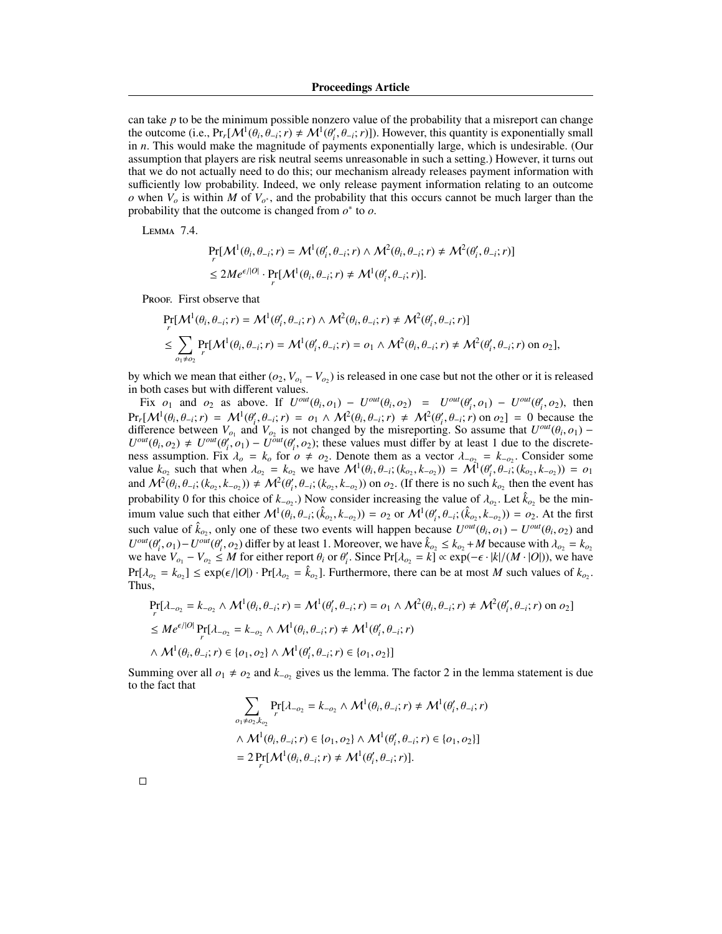can take *p* to be the minimum possible nonzero value of the probability that a misreport can change the outcome (i.e.,  $Pr_r[M^1(\theta_i, \theta_{-i}; r) \neq M^1(\theta'_i, \theta_{-i}; r)]$ ). However, this quantity is exponentially small<br>in *n*. This would make the magnitude of payments exponentially large, which is undesirable. (Our the outcome (i.e.,  $Pr_r[\mathcal{M} \cdot (\theta_i, \theta_{-i}; r) \neq \mathcal{M} \cdot (\theta_i, \theta_{-i}; r)$ )). However, this quantity is exponentially small<br>in *n*. This would make the magnitude of payments exponentially large, which is undesirable. (Our assumption that players are risk neutral seems unreasonable in such a setting.) However, it turns out that we do not actually need to do this; our mechanism already releases payment information with sufficiently low probability. Indeed, we only release payment information relating to an outcome *o* when  $V_o$  is within *M* of  $V_{o^*}$ , and the probability that this occurs cannot be much larger than the probability that the outcome is changed from  $o^*$  to  $o$ .

<span id="page-14-0"></span>Lemma 7.4.

$$
\Pr_r[\mathcal{M}^1(\theta_i, \theta_{-i}; r) = \mathcal{M}^1(\theta'_i, \theta_{-i}; r) \wedge \mathcal{M}^2(\theta_i, \theta_{-i}; r) \neq \mathcal{M}^2(\theta'_i, \theta_{-i}; r)]
$$
  
\n
$$
\leq 2M e^{\epsilon/|O|} \cdot \Pr_r[\mathcal{M}^1(\theta_i, \theta_{-i}; r) \neq \mathcal{M}^1(\theta'_i, \theta_{-i}; r)].
$$

Proof. First observe that

*r*

$$
\Pr_{r}[\mathcal{M}^{1}(\theta_{i}, \theta_{-i}; r) = \mathcal{M}^{1}(\theta'_{i}, \theta_{-i}; r) \wedge \mathcal{M}^{2}(\theta_{i}, \theta_{-i}; r) \neq \mathcal{M}^{2}(\theta'_{i}, \theta_{-i}; r)]
$$
\n
$$
\leq \sum_{o_{1} \neq o_{2}} \Pr[\mathcal{M}^{1}(\theta_{i}, \theta_{-i}; r) = \mathcal{M}^{1}(\theta'_{i}, \theta_{-i}; r) = o_{1} \wedge \mathcal{M}^{2}(\theta_{i}, \theta_{-i}; r) \neq \mathcal{M}^{2}(\theta'_{i}, \theta_{-i}; r) \text{ on } o_{2}],
$$

by which we mean that either  $(o_2, V_{o_1} - V_{o_2})$  is released in one case but not the other or it is released<br>in both cases but with different values in both cases but with different values.

Fix  $o_1$  and  $o_2$  as above. If  $U^{out}(\theta_i, o_1) - U^{out}(\theta_i, o_2) = U^{out}(\theta'_i, o_1) - U^{out}(\theta'_i, o_2)$ , then<br> $L M^1(\theta, \theta, \cdot, r) = M^1(\theta', \theta, \cdot, r) = o_1 \wedge M^2(\theta, \theta, \cdot, r) + M^2(\theta', \theta, \cdot, r)$  on  $o_2$  = 0 because the  $\Pr_r[\mathcal{M}^1(\theta_i, \theta_{-i}; r) = \mathcal{M}^1(\theta'_i, \theta_{-i}; r) = o_1 \wedge \mathcal{M}^2(\theta_i, \theta_{-i}; r) \neq \mathcal{M}^2(\theta'_i, \theta_{-i}; r)$  on  $o_2] = 0$  because the difference between *V*, and *V*, is not changed by the misreporting So assume that  $U^{out}(\theta, o_1)$  $Pr_r[\mathcal{M}(\theta_i, \theta_{-i}; r) = \mathcal{M}(\theta_i, \theta_{-i}; r) = o_1 \wedge \mathcal{M}(\theta_i, \theta_{-i}; r) \neq \mathcal{M}(\theta_i, \theta_{-i}; r)$  on  $o_2$  = 0 because the difference between  $V_{o_1}$  and  $V_{o_2}$  is not changed by the misreporting. So assume that  $U^{out}(\theta_i, o_1) - U^{$ ness assumption. Fix  $\lambda_0 = k_0$  for  $o \neq o_2$ . Denote them as a vector  $\lambda_{-o_2} = k_{-o_2}$ . Consider some value  $k_0$  such that when  $\lambda_{-o_1} = k_0$  we have  $M^1(\theta, \theta, \theta^*(k_0, k_0)) = M^1(\theta', \theta^*(k_0, k_0)) = o_1$ . value  $k_{o_2}$  such that when  $\lambda_{o_2} = k_{o_2}$  we have  $\mathcal{M}^1(\theta_i, \theta_{-i}; (k_{o_2}, k_{-o_2})) = \mathcal{M}^1(\theta'_i, \theta_{-i}; (k_{o_2}, k_{-o_2})) = o_1$ and  $\mathcal{M}^2(\theta_i, \theta_{-i}; (k_{o_2}, k_{-o_2})) \neq \mathcal{M}^2(\theta'_i, \theta_{-i}; (k_{o_2}, k_{-o_2}))$  on  $o_2$ . (If there is no such  $k_{o_2}$  then the event has probability 0 for this choice of  $k_{-\rho_2}$ .) Now consider increasing the value of  $\lambda_{\rho_2}$ . Let  $\hat{k}_{\rho_2}$  be the min-<br>impum value such that either  $M^1(a, a, \hat{a}, \hat{b}, k, \hat{b}) = \rho_2$  or  $M^1(a', a, \hat{b}, k, \hat{b}) = \rho_2$ . At the imum value such that either  $\mathcal{M}^1(\theta_i, \theta_{-i}; (\hat{k}_{o_2}, k_{-o_2})) = o_2$  or  $\mathcal{M}^1(\theta'_i, \theta_{-i}; (\hat{k}_{o_2}, k_{-o_2})) = o_2$ . At the first such value of  $\hat{k}_{o_2}$ , only one of these two events will happen because  $U^{out}(\theta_i, o_1) - U^{out}(\theta_i, o_2)$  and  $U^{out}(\theta' \circ \theta_i)$  and  $U^{out}(\theta' \circ \theta_i)$  differ by at least 1. Moreover, we have  $\hat{k} \leq k + M$  because with  $\hat{l} = k$  $U^{out}(\theta'_i, o_1) - U^{out}(\theta'_i, o_2)$  differ by at least 1. Moreover, we have  $\hat{k}_{o_2} \le k_{o_2} + M$  because with  $\lambda_{o_2} = k_{o_2}$ <br>we have  $V = -V = \langle M \rangle$  for either report  $\theta_i$  or  $\theta'_i$ . Since  $Pr[\lambda_i] = k | \alpha \exp(-\epsilon_i |k|/(M \cdot |O|))$  we have we have  $V_{o_1} - V_{o_2} \leq M$  for either report  $\theta_i$  or  $\theta'_i$ . Since Pr[ $\lambda_{o_2} = k$ ] ∝ exp( $-\epsilon \cdot |k|/(M \cdot |O|)$ ), we have  $Pr[\lambda_{o_2} = k_{o_2}] \leq exp(\epsilon/|O|) \cdot Pr[\lambda_{o_2} = \hat{k}_{o_2}]$ . Furthermore, there can be at most *M* such values of  $k_{o_2}$ .<br>Thus Thus,

$$
\Pr_r[\lambda_{-o_2} = k_{-o_2} \wedge \mathcal{M}^1(\theta_i, \theta_{-i}; r) = \mathcal{M}^1(\theta'_i, \theta_{-i}; r) = o_1 \wedge \mathcal{M}^2(\theta_i, \theta_{-i}; r) \neq \mathcal{M}^2(\theta'_i, \theta_{-i}; r)
$$
 on  $o_2$ ]  
\n
$$
\leq M e^{\epsilon/|O|} \Pr_r[\lambda_{-o_2} = k_{-o_2} \wedge \mathcal{M}^1(\theta_i, \theta_{-i}; r) \neq \mathcal{M}^1(\theta'_i, \theta_{-i}; r)
$$
  
\n
$$
\wedge \mathcal{M}^1(\theta_i, \theta_{-i}; r) \in \{o_1, o_2\} \wedge \mathcal{M}^1(\theta'_i, \theta_{-i}; r) \in \{o_1, o_2\}]
$$

Summing over all  $o_1 \neq o_2$  and  $k_{-o_2}$  gives us the lemma. The factor 2 in the lemma statement is due to the fact that

$$
\sum_{o_1 \neq o_2, k_{o_2}} \Pr[\lambda_{-o_2} = k_{-o_2} \land \mathcal{M}^1(\theta_i, \theta_{-i}; r) \neq \mathcal{M}^1(\theta'_i, \theta_{-i}; r)
$$
  
 
$$
\land \mathcal{M}^1(\theta_i, \theta_{-i}; r) \in \{o_1, o_2\} \land \mathcal{M}^1(\theta'_i, \theta_{-i}; r) \in \{o_1, o_2\}]
$$
  
= 
$$
2 \Pr_r[\mathcal{M}^1(\theta_i, \theta_{-i}; r) \neq \mathcal{M}^1(\theta'_i, \theta_{-i}; r)].
$$

 $\Box$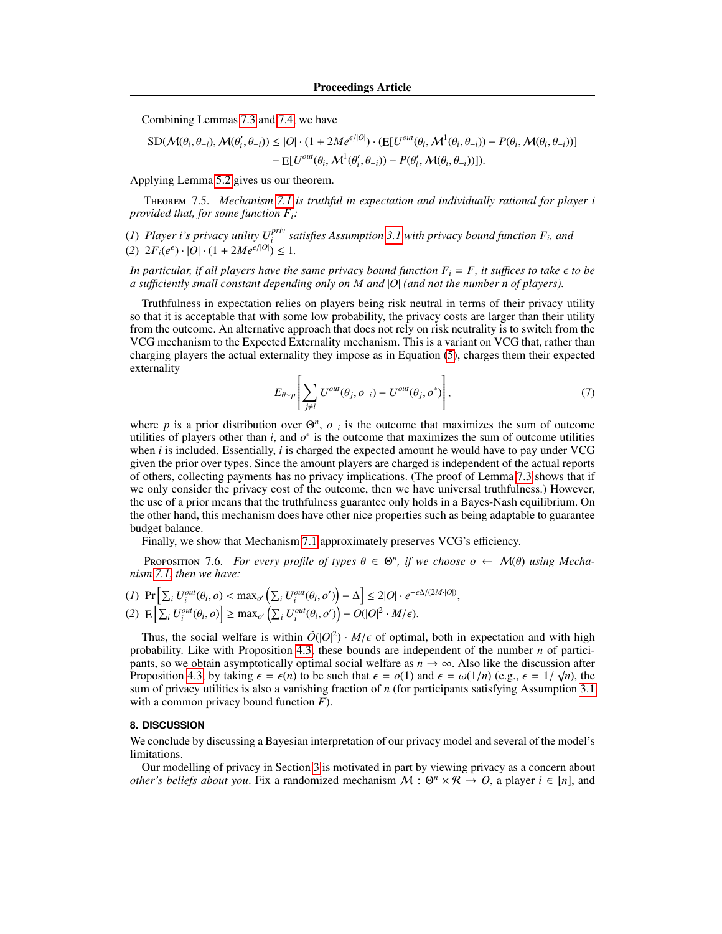Combining Lemmas [7.3](#page-13-1) and [7.4,](#page-14-0) we have

$$
SD(\mathcal{M}(\theta_i, \theta_{-i}), \mathcal{M}(\theta'_i, \theta_{-i})) \le |O| \cdot (1 + 2M e^{\epsilon/|O|}) \cdot (E[U^{out}(\theta_i, \mathcal{M}^1(\theta_i, \theta_{-i})) - P(\theta_i, \mathcal{M}(\theta_i, \theta_{-i}))]
$$

$$
- E[U^{out}(\theta_i, \mathcal{M}^1(\theta'_i, \theta_{-i})) - P(\theta'_i, \mathcal{M}(\theta_i, \theta_{-i}))]).
$$

Applying Lemma [5.2](#page-9-1) gives us our theorem.

Theorem 7.5. *Mechanism [7.1](#page-12-0) is truthful in expectation and individually rational for player i provided that, for some function Fi:*

(*1*) Player i's privacy utility  $U_i^{priv}$  satisfies Assumption [3.1](#page-6-0) with privacy bound function  $F_i$ , and (2)  $2F_i(e^{\epsilon}) \cdot |O| \cdot (1 + 2Me^{\epsilon/|O|}) \leq 1.$ 

*In particular, if all players have the same privacy bound function*  $F_i = F$ *, it suffices to take*  $\epsilon$  to be *a su*ffi*ciently small constant depending only on M and* |*O*| *(and not the number n of players).*

Truthfulness in expectation relies on players being risk neutral in terms of their privacy utility so that it is acceptable that with some low probability, the privacy costs are larger than their utility from the outcome. An alternative approach that does not rely on risk neutrality is to switch from the VCG mechanism to the Expected Externality mechanism. This is a variant on VCG that, rather than charging players the actual externality they impose as in Equation [\(5\)](#page-11-1), charges them their expected externality

$$
E_{\theta \sim p} \left[ \sum_{j \neq i} U^{out}(\theta_j, o_{-i}) - U^{out}(\theta_j, o^*) \right], \tag{7}
$$

where p is a prior distribution over  $\Theta^n$ ,  $o_{-i}$  is the outcome that maximizes the sum of outcome utilities of players other than  $i$ , and  $o^*$  is the outcome that maximizes the sum of outcome utilities when *i* is included. Essentially, *i* is charged the expected amount he would have to pay under VCG given the prior over types. Since the amount players are charged is independent of the actual reports of others, collecting payments has no privacy implications. (The proof of Lemma [7.3](#page-13-1) shows that if we only consider the privacy cost of the outcome, then we have universal truthfulness.) However, the use of a prior means that the truthfulness guarantee only holds in a Bayes-Nash equilibrium. On the other hand, this mechanism does have other nice properties such as being adaptable to guarantee budget balance.

Finally, we show that Mechanism [7.1](#page-12-0) approximately preserves VCG's efficiency.

PROPOSITION 7.6. *For every profile of types*  $\theta \in \Theta^n$ , *if we choose*  $o \leftarrow \mathcal{M}(\theta)$  *using Mecha-*<br>*m* 7.1 *then we have: nism [7.1,](#page-12-0) then we have:*

$$
(1) \Pr\left[\sum_{i} U_{i}^{out}(\theta_{i},o) < \max_{o'} \left(\sum_{i} U_{i}^{out}(\theta_{i},o')\right) - \Delta\right] \le 2|O| \cdot e^{-\epsilon\Delta/(2M\cdot|O|)},
$$
\n
$$
(2) \mathbb{E}\left[\sum_{i} U_{i}^{out}(\theta_{i},o)\right] \ge \max_{o'} \left(\sum_{i} U_{i}^{out}(\theta_{i},o')\right) - O(|O|^{2} \cdot M/\epsilon).
$$

Thus, the social welfare is within  $\tilde{O}(|O|^2) \cdot M/\epsilon$  of optimal, both in expectation and with high phability Like with Proposition 4.3, these bounds are independent of the number *n* of participrobability. Like with Proposition [4.3,](#page-8-1) these bounds are independent of the number *n* of participants, so we obtain asymptotically optimal social welfare as  $n \to \infty$ . Also like the discussion after Proposition [4.3,](#page-8-1) by taking  $\epsilon = \epsilon(n)$  to be such that  $\epsilon = o(1)$  and  $\epsilon = \omega(1/n)$  (e.g.,  $\epsilon = 1/\sqrt{n}$ ), the sum of privacy utilities is also a vanishing fraction of *n* (for participants satisfying Assumption 3.1) sum of privacy utilities is also a vanishing fraction of *n* (for participants satisfying Assumption [3.1](#page-6-0) with a common privacy bound function *F*).

# <span id="page-15-0"></span>**8. DISCUSSION**

We conclude by discussing a Bayesian interpretation of our privacy model and several of the model's limitations.

Our modelling of privacy in Section [3](#page-5-1) is motivated in part by viewing privacy as a concern about *other's beliefs about you.* Fix a randomized mechanism  $M : \Theta^n \times \mathbb{R} \to O$ , a player  $i \in [n]$ , and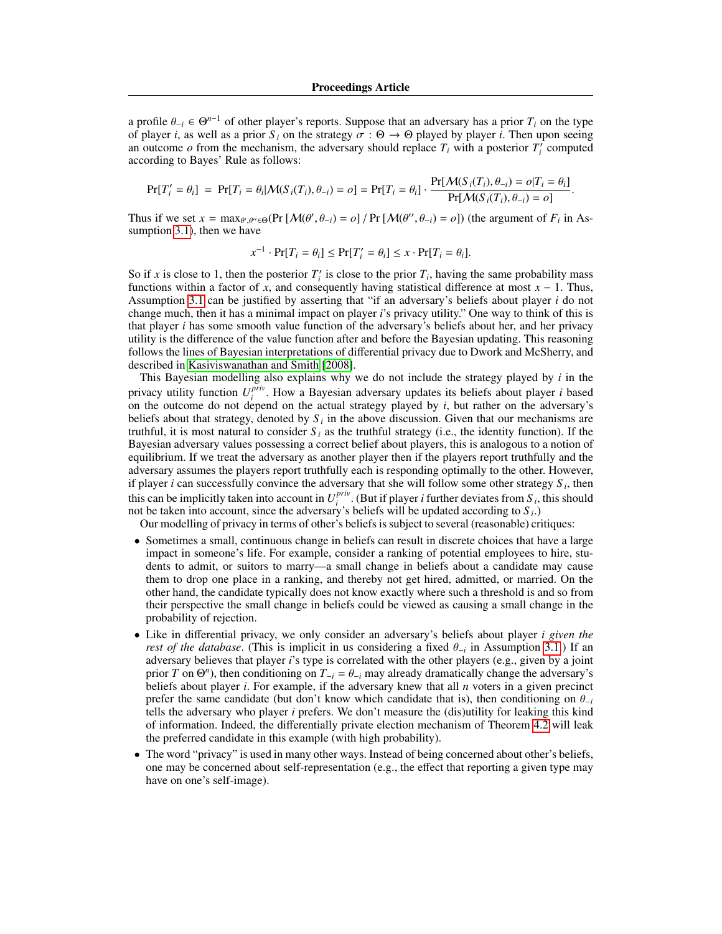a profile  $\theta_{-i} \in \Theta^{n-1}$  of other player's reports. Suppose that an adversary has a prior  $T_i$  on the type of player *i* as well as a prior *S*<sub>i</sub> on the strategy  $\sigma : \Theta \to \Theta$  played by player *i*. Then upon seeing of player *i*, as well as a prior  $S_i$  on the strategy  $\sigma : \Theta \to \Theta$  played by player *i*. Then upon seeing an outcome  $o$  from the mechanism, the adversary should replace  $T_i$  with a posterior  $T_i^r$  computed according to Bayes' Rule as follows:

$$
Pr[T'_i = \theta_i] = Pr[T_i = \theta_i | \mathcal{M}(S_i(T_i), \theta_{-i}) = o] = Pr[T_i = \theta_i] \cdot \frac{Pr[\mathcal{M}(S_i(T_i), \theta_{-i}) = o|T_i = \theta_i]}{Pr[\mathcal{M}(S_i(T_i), \theta_{-i}) = o]}.
$$

Thus if we set  $x = \max_{\theta', \theta'' \in \Theta} (Pr \left[ \mathcal{M}(\theta', \theta_{-i}) = o \right] / Pr \left[ \mathcal{M}(\theta'', \theta_{-i}) = o \right])$  (the argument of  $F_i$  in Assumption 3.1) then we have sumption [3.1\)](#page-6-0), then we have

$$
x^{-1} \cdot \Pr[T_i = \theta_i] \le \Pr[T'_i = \theta_i] \le x \cdot \Pr[T_i = \theta_i].
$$

So if *x* is close to 1, then the posterior  $T_i'$  is close to the prior  $T_i$ , having the same probability mass functions within a factor of *x*, and consequently having statistical difference at most  $x - 1$ . Thus, Assumption [3.1](#page-6-0) can be justified by asserting that "if an adversary's beliefs about player *i* do not change much, then it has a minimal impact on player *i*'s privacy utility." One way to think of this is that player *i* has some smooth value function of the adversary's beliefs about her, and her privacy utility is the difference of the value function after and before the Bayesian updating. This reasoning follows the lines of Bayesian interpretations of differential privacy due to Dwork and McSherry, and described in [Kasiviswanathan and Smith](#page-17-5) [\[2008\]](#page-17-5).

This Bayesian modelling also explains why we do not include the strategy played by *i* in the privacy utility function *U priv*  $i$ <sup>*priv*</sup>. How a Bayesian adversary updates its beliefs about player *i* based on the outcome do not depend on the actual strategy played by *i*, but rather on the adversary's beliefs about that strategy, denoted by  $S_i$  in the above discussion. Given that our mechanisms are truthful, it is most natural to consider  $S_i$  as the truthful strategy (i.e., the identity function). If the Bayesian adversary values possessing a correct belief about players, this is analogous to a notion of equilibrium. If we treat the adversary as another player then if the players report truthfully and the adversary assumes the players report truthfully each is responding optimally to the other. However, if player *i* can successfully convince the adversary that she will follow some other strategy  $S_i$ , then this can be implicitly taken into account in  $U_i^{priv}$  $\int_{i}^{prv}$ . (But if player *i* further deviates from *S*<sub>*i*</sub>, this should not be taken into account, since the adversary's beliefs will be updated according to *S <sup>i</sup>* .)

Our modelling of privacy in terms of other's beliefs is subject to several (reasonable) critiques:

- Sometimes a small, continuous change in beliefs can result in discrete choices that have a large impact in someone's life. For example, consider a ranking of potential employees to hire, students to admit, or suitors to marry—a small change in beliefs about a candidate may cause them to drop one place in a ranking, and thereby not get hired, admitted, or married. On the other hand, the candidate typically does not know exactly where such a threshold is and so from their perspective the small change in beliefs could be viewed as causing a small change in the probability of rejection.
- Like in differential privacy, we only consider an adversary's beliefs about player *i given the rest of the database*. (This is implicit in us considering a fixed  $\theta_{-i}$  in Assumption [3.1.](#page-6-0)) If an adversary believes that player *i*'s type is correlated with the other players (e.g. given by a joint adversary believes that player *i*'s type is correlated with the other players (e.g., given by a joint prior *T* on  $\Theta^n$ ), then conditioning on  $T_{-i} = \theta_{-i}$  may already dramatically change the adversary's heliefs about player *i*. For example, if the adversary knew that all *n* voters in a given precinct beliefs about player *i*. For example, if the adversary knew that all *n* voters in a given precinct prefer the same candidate (but don't know which candidate that is), then conditioning on  $\theta_{-i}$ tells the adversary who player *i* prefers. We don't measure the (dis)utility for leaking this kind of information. Indeed, the differentially private election mechanism of Theorem [4.2](#page-7-3) will leak the preferred candidate in this example (with high probability).
- The word "privacy" is used in many other ways. Instead of being concerned about other's beliefs, one may be concerned about self-representation (e.g., the effect that reporting a given type may have on one's self-image).